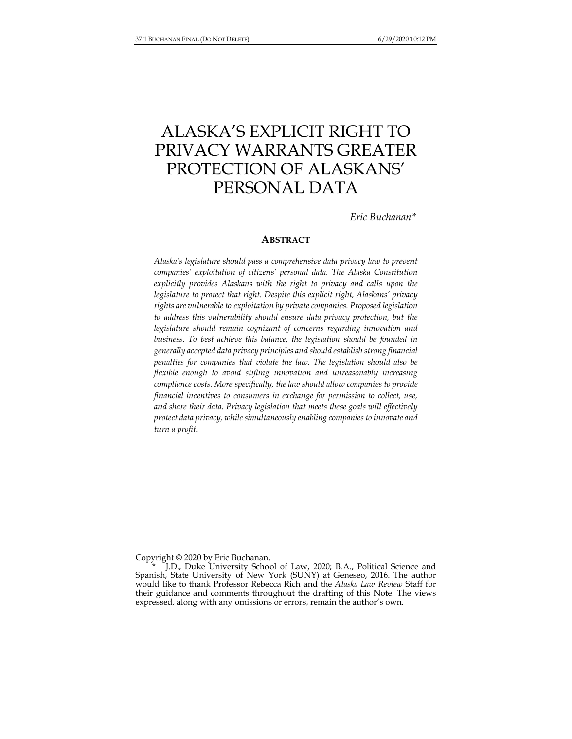# ALASKA'S EXPLICIT RIGHT TO PRIVACY WARRANTS GREATER PROTECTION OF ALASKANS' PERSONAL DATA

*Eric Buchanan\** 

### **ABSTRACT**

*Alaska's legislature should pass a comprehensive data privacy law to prevent companies' exploitation of citizens' personal data. The Alaska Constitution explicitly provides Alaskans with the right to privacy and calls upon the legislature to protect that right. Despite this explicit right, Alaskans' privacy rights are vulnerable to exploitation by private companies. Proposed legislation to address this vulnerability should ensure data privacy protection, but the legislature should remain cognizant of concerns regarding innovation and business. To best achieve this balance, the legislation should be founded in generally accepted data privacy principles and should establish strong financial penalties for companies that violate the law. The legislation should also be flexible enough to avoid stifling innovation and unreasonably increasing compliance costs. More specifically, the law should allow companies to provide financial incentives to consumers in exchange for permission to collect, use, and share their data. Privacy legislation that meets these goals will effectively protect data privacy, while simultaneously enabling companies to innovate and turn a profit.* 

Copyright © 2020 by Eric Buchanan.

J.D., Duke University School of Law, 2020; B.A., Political Science and Spanish, State University of New York (SUNY) at Geneseo, 2016. The author would like to thank Professor Rebecca Rich and the *Alaska Law Review* Staff for their guidance and comments throughout the drafting of this Note. The views expressed, along with any omissions or errors, remain the author's own.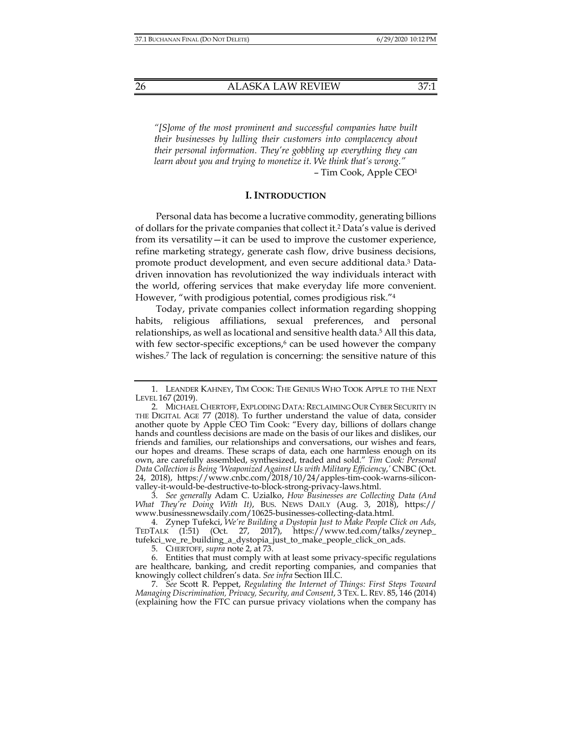*"[S]ome of the most prominent and successful companies have built their businesses by lulling their customers into complacency about their personal information. They're gobbling up everything they can learn about you and trying to monetize it. We think that's wrong."* – Tim Cook, Apple CEO1

#### **I. INTRODUCTION**

Personal data has become a lucrative commodity, generating billions of dollars for the private companies that collect it.2 Data's value is derived from its versatility—it can be used to improve the customer experience, refine marketing strategy, generate cash flow, drive business decisions, promote product development, and even secure additional data.3 Datadriven innovation has revolutionized the way individuals interact with the world, offering services that make everyday life more convenient. However, "with prodigious potential, comes prodigious risk."4

Today, private companies collect information regarding shopping habits, religious affiliations, sexual preferences, and personal relationships, as well as locational and sensitive health data.<sup>5</sup> All this data, with few sector-specific exceptions, $6$  can be used however the company wishes.7 The lack of regulation is concerning: the sensitive nature of this

 <sup>1.</sup> LEANDER KAHNEY, TIM COOK: THE GENIUS WHO TOOK APPLE TO THE NEXT LEVEL 167 (2019).

 <sup>2.</sup> MICHAEL CHERTOFF, EXPLODING DATA: RECLAIMING OUR CYBER SECURITY IN THE DIGITAL AGE 77 (2018). To further understand the value of data, consider another quote by Apple CEO Tim Cook: "Every day, billions of dollars change hands and countless decisions are made on the basis of our likes and dislikes, our friends and families, our relationships and conversations, our wishes and fears, our hopes and dreams. These scraps of data, each one harmless enough on its own, are carefully assembled, synthesized, traded and sold." *Tim Cook: Personal Data Collection is Being 'Weaponized Against Us with Military Efficiency*,*'* CNBC (Oct. 24, 2018), https://www.cnbc.com/2018/10/24/apples-tim-cook-warns-siliconvalley-it-would-be-destructive-to-block-strong-privacy-laws.html.

 <sup>3.</sup> *See generally* Adam C. Uzialko, *How Businesses are Collecting Data (And What They're Doing With It)*, BUS. NEWS DAILY (Aug. 3, 2018), https:// www.businessnewsdaily.com/10625-businesses-collecting-data.html.

 <sup>4.</sup> Zynep Tufekci, *We're Building a Dystopia Just to Make People Click on Ads*, TEDTALK (1:51) (Oct. 27, 2017), https://www.ted.com/talks/zeynep\_ tufekci\_we\_re\_building\_a\_dystopia\_just\_to\_make\_people\_click\_on\_ads.

 <sup>5.</sup> CHERTOFF, *supra* note 2, at 73.

 <sup>6.</sup> Entities that must comply with at least some privacy-specific regulations are healthcare, banking, and credit reporting companies, and companies that knowingly collect children's data. *See infra* Section III.C.

 <sup>7.</sup> *See* Scott R. Peppet, *Regulating the Internet of Things: First Steps Toward Managing Discrimination, Privacy, Security, and Consent*, 3 TEX. L.REV. 85, 146 (2014) (explaining how the FTC can pursue privacy violations when the company has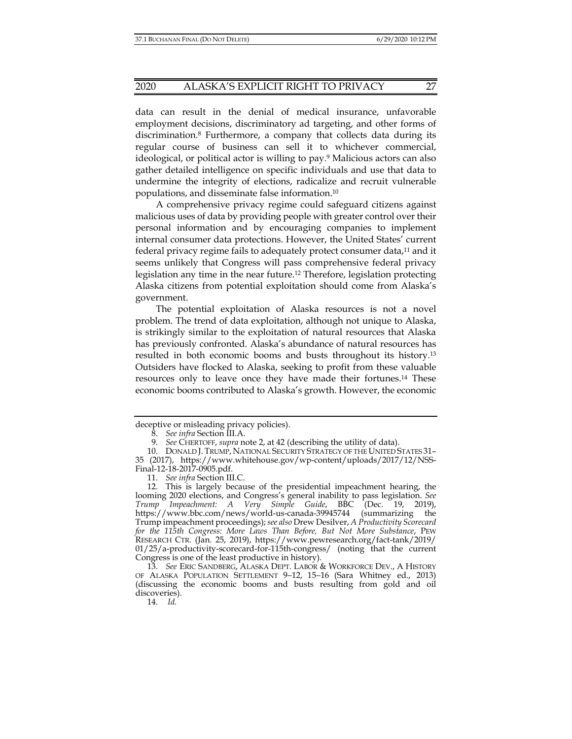data can result in the denial of medical insurance, unfavorable employment decisions, discriminatory ad targeting, and other forms of discrimination.8 Furthermore, a company that collects data during its regular course of business can sell it to whichever commercial, ideological, or political actor is willing to pay.9 Malicious actors can also gather detailed intelligence on specific individuals and use that data to undermine the integrity of elections, radicalize and recruit vulnerable populations, and disseminate false information.10

A comprehensive privacy regime could safeguard citizens against malicious uses of data by providing people with greater control over their personal information and by encouraging companies to implement internal consumer data protections. However, the United States' current federal privacy regime fails to adequately protect consumer data,11 and it seems unlikely that Congress will pass comprehensive federal privacy legislation any time in the near future.12 Therefore, legislation protecting Alaska citizens from potential exploitation should come from Alaska's government.

The potential exploitation of Alaska resources is not a novel problem. The trend of data exploitation, although not unique to Alaska, is strikingly similar to the exploitation of natural resources that Alaska has previously confronted. Alaska's abundance of natural resources has resulted in both economic booms and busts throughout its history.13 Outsiders have flocked to Alaska, seeking to profit from these valuable resources only to leave once they have made their fortunes.14 These economic booms contributed to Alaska's growth. However, the economic

deceptive or misleading privacy policies).

 <sup>8.</sup> *See infra* Section III.A.

 <sup>9.</sup> *See* CHERTOFF, *supra* note 2, at 42 (describing the utility of data).

 <sup>10.</sup> DONALD J. TRUMP, NATIONAL SECURITY STRATEGY OF THE UNITED STATES 31– 35 (2017), https://www.whitehouse.gov/wp-content/uploads/2017/12/NSS-Final-12-18-2017-0905.pdf.

 <sup>11.</sup> *See infra* Section III.C.

 <sup>12.</sup> This is largely because of the presidential impeachment hearing, the looming 2020 elections, and Congress's general inability to pass legislation. *See Trump Impeachment: A Very Simple Guide*, BBC (Dec. 19, 2019), https://www.bbc.com/news/world-us-canada-39945744 (summarizing the Trump impeachment proceedings); *see also* Drew Desilver, *A Productivity Scorecard for the 115th Congress: More Laws Than Before, But Not More Substance*, PEW RESEARCH CTR. (Jan. 25, 2019), https://www.pewresearch.org/fact-tank/2019/ 01/25/a-productivity-scorecard-for-115th-congress/ (noting that the current Congress is one of the least productive in history).

 <sup>13.</sup> *See* ERIC SANDBERG, ALASKA DEPT. LABOR & WORKFORCE DEV., A HISTORY OF ALASKA POPULATION SETTLEMENT 9−12, 15−16 (Sara Whitney ed., 2013) (discussing the economic booms and busts resulting from gold and oil discoveries).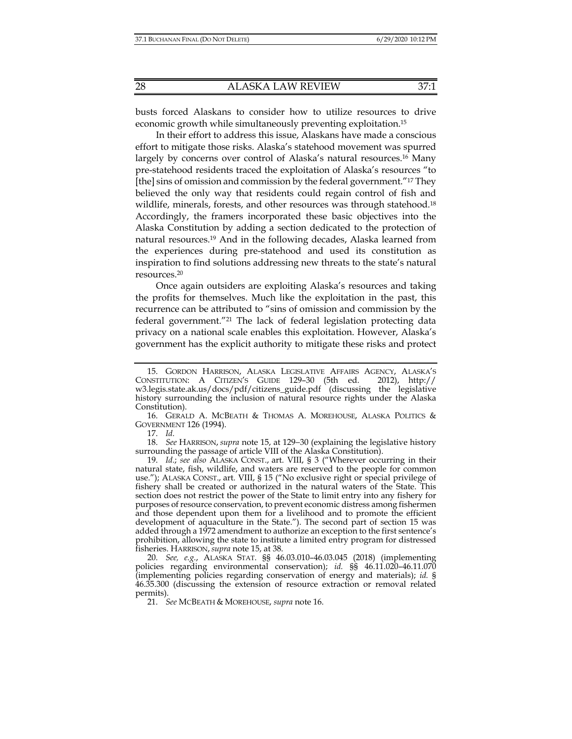busts forced Alaskans to consider how to utilize resources to drive economic growth while simultaneously preventing exploitation.15

In their effort to address this issue, Alaskans have made a conscious effort to mitigate those risks. Alaska's statehood movement was spurred largely by concerns over control of Alaska's natural resources.<sup>16</sup> Many pre-statehood residents traced the exploitation of Alaska's resources "to [the] sins of omission and commission by the federal government."17 They believed the only way that residents could regain control of fish and wildlife, minerals, forests, and other resources was through statehood.<sup>18</sup> Accordingly, the framers incorporated these basic objectives into the Alaska Constitution by adding a section dedicated to the protection of natural resources.19 And in the following decades, Alaska learned from the experiences during pre-statehood and used its constitution as inspiration to find solutions addressing new threats to the state's natural resources.20

Once again outsiders are exploiting Alaska's resources and taking the profits for themselves. Much like the exploitation in the past, this recurrence can be attributed to "sins of omission and commission by the federal government."21 The lack of federal legislation protecting data privacy on a national scale enables this exploitation. However, Alaska's government has the explicit authority to mitigate these risks and protect

17. *Id.*

 18. *See* HARRISON, *supra* note 15, at 129−30 (explaining the legislative history surrounding the passage of article VIII of the Alaska Constitution).

 19. *Id.*; *see also* ALASKA CONST., art. VIII, § 3 ("Wherever occurring in their natural state, fish, wildlife, and waters are reserved to the people for common use."); ALASKA CONST., art. VIII, § 15 ("No exclusive right or special privilege of fishery shall be created or authorized in the natural waters of the State. This section does not restrict the power of the State to limit entry into any fishery for purposes of resource conservation, to prevent economic distress among fishermen and those dependent upon them for a livelihood and to promote the efficient development of aquaculture in the State."). The second part of section 15 was added through a 1972 amendment to authorize an exception to the first sentence's prohibition, allowing the state to institute a limited entry program for distressed fisheries. HARRISON, *supra* note 15, at 38.

 20. *See, e.g.*, ALASKA STAT. §§ 46.03.010–46.03.045 (2018) (implementing policies regarding environmental conservation); *id.* §§ 46.11.020–46.11.070 (implementing policies regarding conservation of energy and materials); *id.* § 46.35.300 (discussing the extension of resource extraction or removal related permits).

21. *See* MCBEATH & MOREHOUSE, *supra* note 16.

 <sup>15.</sup> GORDON HARRISON, ALASKA LEGISLATIVE AFFAIRS AGENCY, ALASKA'S CONSTITUTION: A CITIZEN'S GUIDE 129–30 (5th ed. 2012), http:// w3.legis.state.ak.us/docs/pdf/citizens\_guide.pdf (discussing the legislative history surrounding the inclusion of natural resource rights under the Alaska Constitution).

 <sup>16.</sup> GERALD A. MCBEATH & THOMAS A. MOREHOUSE, ALASKA POLITICS & GOVERNMENT 126 (1994).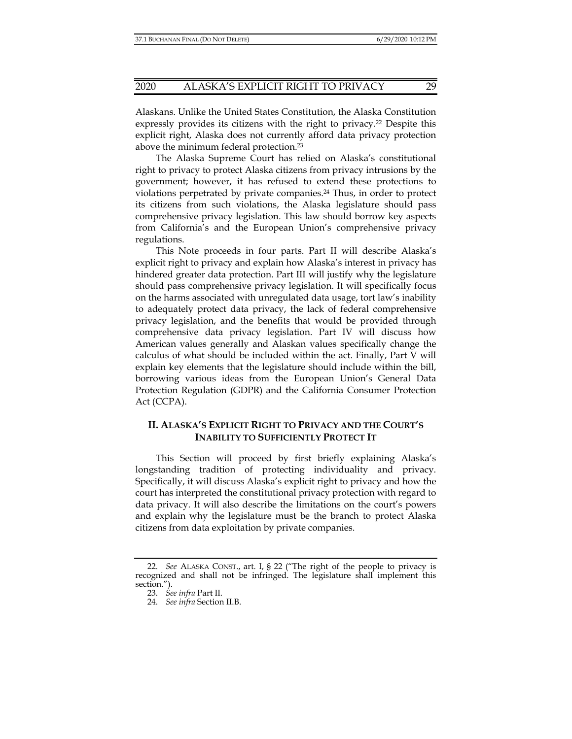Alaskans. Unlike the United States Constitution, the Alaska Constitution expressly provides its citizens with the right to privacy.<sup>22</sup> Despite this explicit right, Alaska does not currently afford data privacy protection above the minimum federal protection.23

The Alaska Supreme Court has relied on Alaska's constitutional right to privacy to protect Alaska citizens from privacy intrusions by the government; however, it has refused to extend these protections to violations perpetrated by private companies.<sup>24</sup> Thus, in order to protect its citizens from such violations, the Alaska legislature should pass comprehensive privacy legislation. This law should borrow key aspects from California's and the European Union's comprehensive privacy regulations.

This Note proceeds in four parts. Part II will describe Alaska's explicit right to privacy and explain how Alaska's interest in privacy has hindered greater data protection. Part III will justify why the legislature should pass comprehensive privacy legislation. It will specifically focus on the harms associated with unregulated data usage, tort law's inability to adequately protect data privacy, the lack of federal comprehensive privacy legislation, and the benefits that would be provided through comprehensive data privacy legislation. Part IV will discuss how American values generally and Alaskan values specifically change the calculus of what should be included within the act. Finally, Part V will explain key elements that the legislature should include within the bill, borrowing various ideas from the European Union's General Data Protection Regulation (GDPR) and the California Consumer Protection Act (CCPA).

# **II. ALASKA'S EXPLICIT RIGHT TO PRIVACY AND THE COURT'S INABILITY TO SUFFICIENTLY PROTECT IT**

This Section will proceed by first briefly explaining Alaska's longstanding tradition of protecting individuality and privacy. Specifically, it will discuss Alaska's explicit right to privacy and how the court has interpreted the constitutional privacy protection with regard to data privacy. It will also describe the limitations on the court's powers and explain why the legislature must be the branch to protect Alaska citizens from data exploitation by private companies.

 <sup>22.</sup> *See* ALASKA CONST., art. I, § 22 ("The right of the people to privacy is recognized and shall not be infringed. The legislature shall implement this section.").

 <sup>23.</sup> *See infra* Part II.

 <sup>24.</sup> *See infra* Section II.B.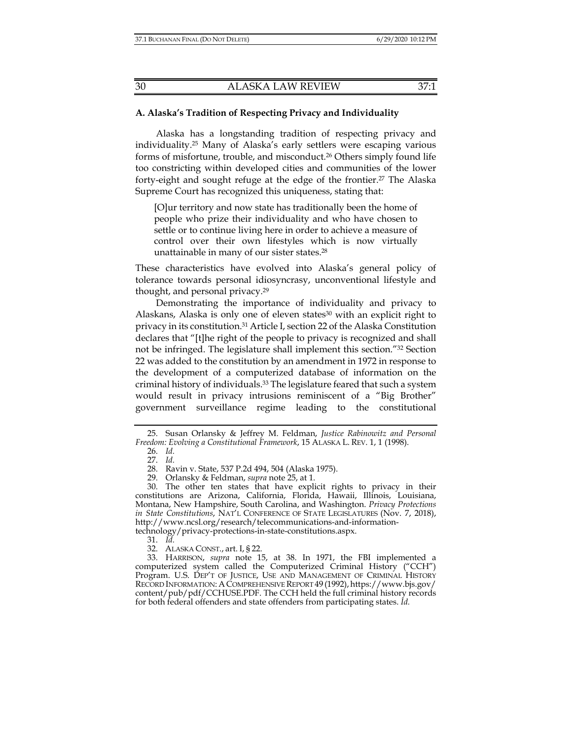#### **A. Alaska's Tradition of Respecting Privacy and Individuality**

Alaska has a longstanding tradition of respecting privacy and individuality.25 Many of Alaska's early settlers were escaping various forms of misfortune, trouble, and misconduct.26 Others simply found life too constricting within developed cities and communities of the lower forty-eight and sought refuge at the edge of the frontier.27 The Alaska Supreme Court has recognized this uniqueness, stating that:

[O]ur territory and now state has traditionally been the home of people who prize their individuality and who have chosen to settle or to continue living here in order to achieve a measure of control over their own lifestyles which is now virtually unattainable in many of our sister states.28

These characteristics have evolved into Alaska's general policy of tolerance towards personal idiosyncrasy, unconventional lifestyle and thought, and personal privacy.29

Demonstrating the importance of individuality and privacy to Alaskans, Alaska is only one of eleven states $30$  with an explicit right to privacy in its constitution.31 Article I, section 22 of the Alaska Constitution declares that "[t]he right of the people to privacy is recognized and shall not be infringed. The legislature shall implement this section."32 Section 22 was added to the constitution by an amendment in 1972 in response to the development of a computerized database of information on the criminal history of individuals.33 The legislature feared that such a system would result in privacy intrusions reminiscent of a "Big Brother" government surveillance regime leading to the constitutional

 <sup>25.</sup> Susan Orlansky & Jeffrey M. Feldman, *Justice Rabinowitz and Personal Freedom: Evolving a Constitutional Framework*, 15 ALASKA L. REV. 1, 1 (1998).

 <sup>26.</sup> *Id.*

 <sup>27.</sup> *Id.*

 <sup>28.</sup> Ravin v. State, 537 P.2d 494, 504 (Alaska 1975).

 <sup>29.</sup> Orlansky & Feldman, *supra* note 25, at 1.

 <sup>30.</sup> The other ten states that have explicit rights to privacy in their constitutions are Arizona, California, Florida, Hawaii, Illinois, Louisiana, Montana, New Hampshire, South Carolina, and Washington. *Privacy Protections in State Constitutions, NAT'L CONFERENCE OF STATE LEGISLATURES (Nov. 7, 2018),* http://www.ncsl.org/research/telecommunications-and-information-

technology/privacy-protections-in-state-constitutions.aspx.

 <sup>31.</sup> *Id.*

 <sup>32.</sup> ALASKA CONST., art. I, § 22.

 <sup>33.</sup> HARRISON, *supra* note 15, at 38. In 1971, the FBI implemented a computerized system called the Computerized Criminal History ("CCH") Program. U.S. DEP'T OF JUSTICE, USE AND MANAGEMENT OF CRIMINAL HISTORY RECORD INFORMATION: ACOMPREHENSIVE REPORT 49 (1992), https://www.bjs.gov/ content/pub/pdf/CCHUSE.PDF. The CCH held the full criminal history records for both federal offenders and state offenders from participating states. *Id.*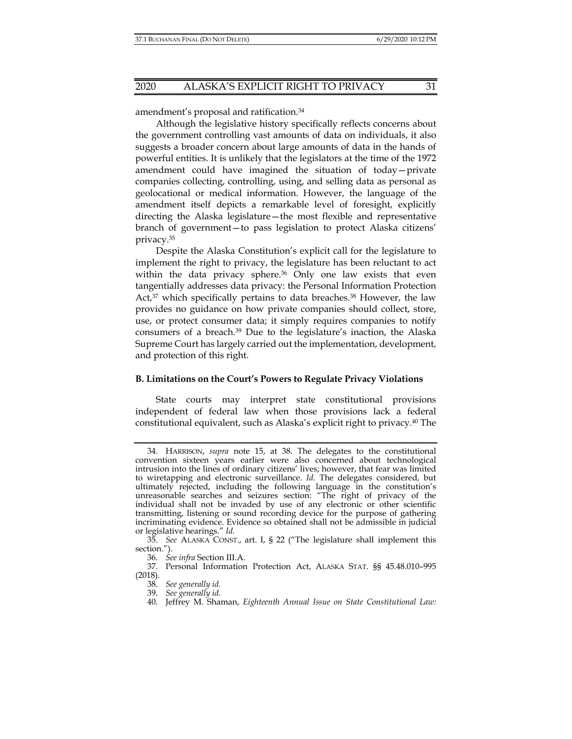amendment's proposal and ratification.34

Although the legislative history specifically reflects concerns about the government controlling vast amounts of data on individuals, it also suggests a broader concern about large amounts of data in the hands of powerful entities. It is unlikely that the legislators at the time of the 1972 amendment could have imagined the situation of today—private companies collecting, controlling, using, and selling data as personal as geolocational or medical information. However, the language of the amendment itself depicts a remarkable level of foresight, explicitly directing the Alaska legislature—the most flexible and representative branch of government—to pass legislation to protect Alaska citizens' privacy.35

Despite the Alaska Constitution's explicit call for the legislature to implement the right to privacy, the legislature has been reluctant to act within the data privacy sphere.<sup>36</sup> Only one law exists that even tangentially addresses data privacy: the Personal Information Protection Act,<sup>37</sup> which specifically pertains to data breaches.<sup>38</sup> However, the law provides no guidance on how private companies should collect, store, use, or protect consumer data; it simply requires companies to notify consumers of a breach.39 Due to the legislature's inaction, the Alaska Supreme Court has largely carried out the implementation, development, and protection of this right.

#### **B. Limitations on the Court's Powers to Regulate Privacy Violations**

State courts may interpret state constitutional provisions independent of federal law when those provisions lack a federal constitutional equivalent, such as Alaska's explicit right to privacy.40 The

 <sup>34.</sup> HARRISON, *supra* note 15, at 38. The delegates to the constitutional convention sixteen years earlier were also concerned about technological intrusion into the lines of ordinary citizens' lives; however, that fear was limited to wiretapping and electronic surveillance. *Id.* The delegates considered, but ultimately rejected, including the following language in the constitution's unreasonable searches and seizures section: "The right of privacy of the individual shall not be invaded by use of any electronic or other scientific transmitting, listening or sound recording device for the purpose of gathering incriminating evidence. Evidence so obtained shall not be admissible in judicial or legislative hearings." *Id.*

 <sup>35.</sup> *See* ALASKA CONST., art. I, § 22 ("The legislature shall implement this section.").

 <sup>36.</sup> *See infra* Section III.A.

 <sup>37.</sup> Personal Information Protection Act, ALASKA STAT. §§ 45.48.010–995 (2018).

 <sup>38.</sup> *See generally id.* 

 <sup>39.</sup> *See generally id.*

 <sup>40.</sup> Jeffrey M. Shaman, *Eighteenth Annual Issue on State Constitutional Law:*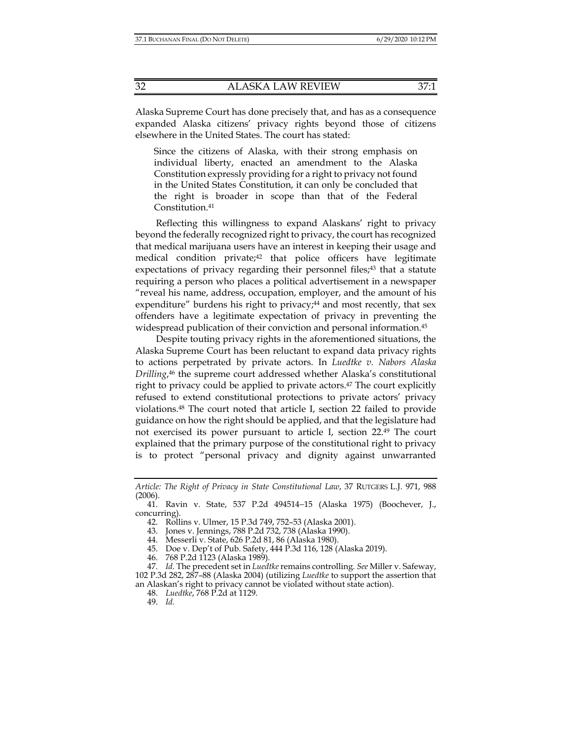Alaska Supreme Court has done precisely that, and has as a consequence expanded Alaska citizens' privacy rights beyond those of citizens elsewhere in the United States. The court has stated:

Since the citizens of Alaska, with their strong emphasis on individual liberty, enacted an amendment to the Alaska Constitution expressly providing for a right to privacy not found in the United States Constitution, it can only be concluded that the right is broader in scope than that of the Federal Constitution.41

Reflecting this willingness to expand Alaskans' right to privacy beyond the federally recognized right to privacy, the court has recognized that medical marijuana users have an interest in keeping their usage and medical condition private;<sup>42</sup> that police officers have legitimate expectations of privacy regarding their personnel files;<sup>43</sup> that a statute requiring a person who places a political advertisement in a newspaper "reveal his name, address, occupation, employer, and the amount of his expenditure" burdens his right to privacy; $44$  and most recently, that sex offenders have a legitimate expectation of privacy in preventing the widespread publication of their conviction and personal information.<sup>45</sup>

Despite touting privacy rights in the aforementioned situations, the Alaska Supreme Court has been reluctant to expand data privacy rights to actions perpetrated by private actors. In *Luedtke v. Nabors Alaska Drilling*, 46 the supreme court addressed whether Alaska's constitutional right to privacy could be applied to private actors.<sup>47</sup> The court explicitly refused to extend constitutional protections to private actors' privacy violations.48 The court noted that article I, section 22 failed to provide guidance on how the right should be applied, and that the legislature had not exercised its power pursuant to article I, section 22.49 The court explained that the primary purpose of the constitutional right to privacy is to protect "personal privacy and dignity against unwarranted

*Article: The Right of Privacy in State Constitutional Law*, 37 RUTGERS L.J. 971, 988 (2006).

 <sup>41.</sup> Ravin v. State, 537 P.2d 494514−15 (Alaska 1975) (Boochever, J., concurring).

 <sup>42.</sup> Rollins v. Ulmer, 15 P.3d 749, 752–53 (Alaska 2001).

 <sup>43.</sup> Jones v. Jennings, 788 P.2d 732, 738 (Alaska 1990).

 <sup>44.</sup> Messerli v. State, 626 P.2d 81, 86 (Alaska 1980).

 <sup>45.</sup> Doe v. Dep't of Pub. Safety, 444 P.3d 116, 128 (Alaska 2019).

 <sup>46. 768</sup> P.2d 1123 (Alaska 1989).

 <sup>47.</sup> *Id.* The precedent set in *Luedtke* remains controlling. *See* Miller v. Safeway, 102 P.3d 282, 287–88 (Alaska 2004) (utilizing *Luedtke* to support the assertion that an Alaskan's right to privacy cannot be violated without state action).

 <sup>48.</sup> *Luedtke*, 768 P.2d at 1129.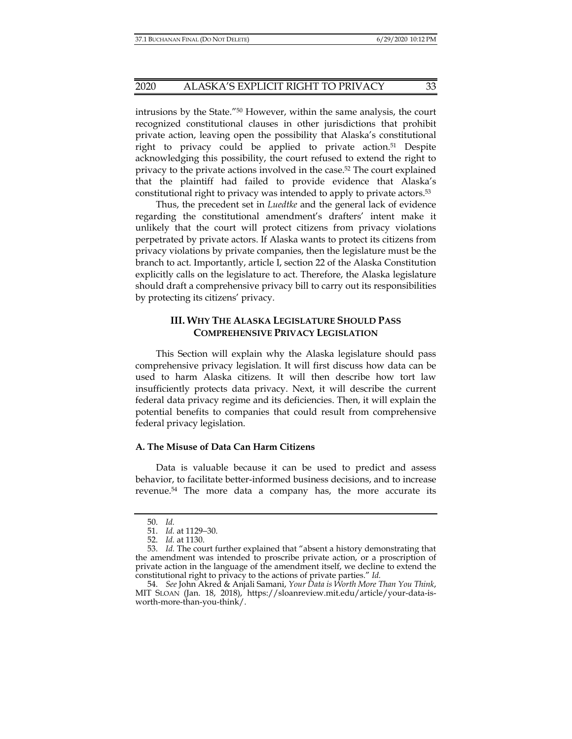#### 2020 ALASKA'S EXPLICIT RIGHT TO PRIVACY 33

intrusions by the State."50 However, within the same analysis, the court recognized constitutional clauses in other jurisdictions that prohibit private action, leaving open the possibility that Alaska's constitutional right to privacy could be applied to private action.<sup>51</sup> Despite acknowledging this possibility, the court refused to extend the right to privacy to the private actions involved in the case.52 The court explained that the plaintiff had failed to provide evidence that Alaska's constitutional right to privacy was intended to apply to private actors.53

Thus, the precedent set in *Luedtke* and the general lack of evidence regarding the constitutional amendment's drafters' intent make it unlikely that the court will protect citizens from privacy violations perpetrated by private actors. If Alaska wants to protect its citizens from privacy violations by private companies, then the legislature must be the branch to act. Importantly, article I, section 22 of the Alaska Constitution explicitly calls on the legislature to act. Therefore, the Alaska legislature should draft a comprehensive privacy bill to carry out its responsibilities by protecting its citizens' privacy.

# **III. WHY THE ALASKA LEGISLATURE SHOULD PASS COMPREHENSIVE PRIVACY LEGISLATION**

This Section will explain why the Alaska legislature should pass comprehensive privacy legislation. It will first discuss how data can be used to harm Alaska citizens. It will then describe how tort law insufficiently protects data privacy. Next, it will describe the current federal data privacy regime and its deficiencies. Then, it will explain the potential benefits to companies that could result from comprehensive federal privacy legislation.

## **A. The Misuse of Data Can Harm Citizens**

Data is valuable because it can be used to predict and assess behavior, to facilitate better-informed business decisions, and to increase revenue.54 The more data a company has, the more accurate its

 <sup>50.</sup> *Id.* 

 <sup>51.</sup> *Id.* at 1129−30.

 <sup>52.</sup> *Id.* at 1130.

 <sup>53.</sup> *Id.* The court further explained that "absent a history demonstrating that the amendment was intended to proscribe private action, or a proscription of private action in the language of the amendment itself, we decline to extend the constitutional right to privacy to the actions of private parties." *Id.* 

 <sup>54.</sup> *See* John Akred & Anjali Samani, *Your Data is Worth More Than You Think*, MIT SLOAN (Jan. 18, 2018), https://sloanreview.mit.edu/article/your-data-isworth-more-than-you-think/.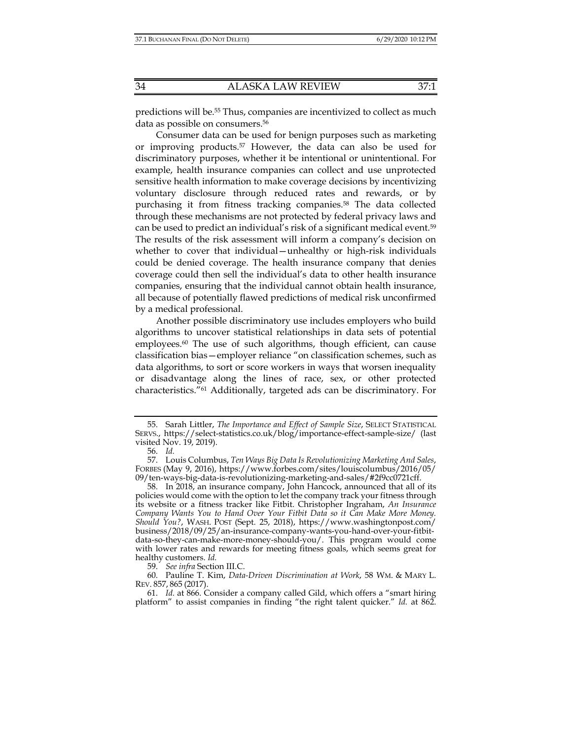predictions will be.<sup>55</sup> Thus, companies are incentivized to collect as much data as possible on consumers.<sup>56</sup>

Consumer data can be used for benign purposes such as marketing or improving products.57 However, the data can also be used for discriminatory purposes, whether it be intentional or unintentional. For example, health insurance companies can collect and use unprotected sensitive health information to make coverage decisions by incentivizing voluntary disclosure through reduced rates and rewards, or by purchasing it from fitness tracking companies.<sup>58</sup> The data collected through these mechanisms are not protected by federal privacy laws and can be used to predict an individual's risk of a significant medical event.59 The results of the risk assessment will inform a company's decision on whether to cover that individual—unhealthy or high-risk individuals could be denied coverage. The health insurance company that denies coverage could then sell the individual's data to other health insurance companies, ensuring that the individual cannot obtain health insurance, all because of potentially flawed predictions of medical risk unconfirmed by a medical professional.

Another possible discriminatory use includes employers who build algorithms to uncover statistical relationships in data sets of potential employees.<sup>60</sup> The use of such algorithms, though efficient, can cause classification bias—employer reliance "on classification schemes, such as data algorithms, to sort or score workers in ways that worsen inequality or disadvantage along the lines of race, sex, or other protected characteristics."61 Additionally, targeted ads can be discriminatory. For

59. *See infra* Section III.C.

 <sup>55.</sup> Sarah Littler, *The Importance and Effect of Sample Size*, SELECT STATISTICAL SERVS., https://select-statistics.co.uk/blog/importance-effect-sample-size/ (last visited Nov. 19, 2019).

 <sup>56.</sup> *Id.* 

 <sup>57.</sup> Louis Columbus, *Ten Ways Big Data Is Revolutionizing Marketing And Sales*, FORBES (May 9, 2016), https://www.forbes.com/sites/louiscolumbus/2016/05/ 09/ten-ways-big-data-is-revolutionizing-marketing-and-sales/#2f9cc0721cff.

 <sup>58.</sup> In 2018, an insurance company, John Hancock, announced that all of its policies would come with the option to let the company track your fitness through its website or a fitness tracker like Fitbit. Christopher Ingraham, *An Insurance Company Wants You to Hand Over Your Fitbit Data so it Can Make More Money. Should You?*, WASH. POST (Sept. 25, 2018), https://www.washingtonpost.com/ business/2018/09/25/an-insurance-company-wants-you-hand-over-your-fitbitdata-so-they-can-make-more-money-should-you/. This program would come with lower rates and rewards for meeting fitness goals, which seems great for healthy customers. *Id.* 

 <sup>60.</sup> Pauline T. Kim, *Data-Driven Discrimination at Work*, 58 WM. & MARY L. REV. 857, 865 (2017).

 <sup>61.</sup> *Id.* at 866. Consider a company called Gild, which offers a "smart hiring platform" to assist companies in finding "the right talent quicker." *Id.* at 862.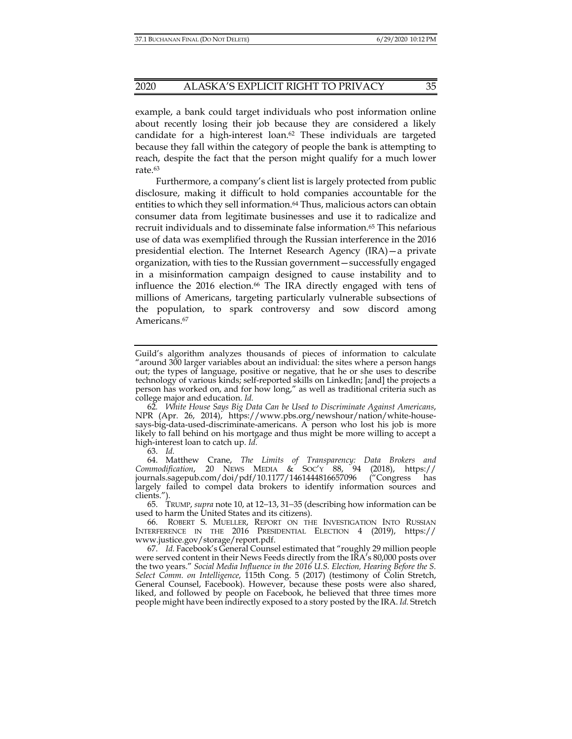#### 2020 ALASKA'S EXPLICIT RIGHT TO PRIVACY 35

example, a bank could target individuals who post information online about recently losing their job because they are considered a likely candidate for a high-interest loan. $62$  These individuals are targeted because they fall within the category of people the bank is attempting to reach, despite the fact that the person might qualify for a much lower rate.63

Furthermore, a company's client list is largely protected from public disclosure, making it difficult to hold companies accountable for the entities to which they sell information.<sup>64</sup> Thus, malicious actors can obtain consumer data from legitimate businesses and use it to radicalize and recruit individuals and to disseminate false information.65 This nefarious use of data was exemplified through the Russian interference in the 2016 presidential election. The Internet Research Agency (IRA)—a private organization, with ties to the Russian government—successfully engaged in a misinformation campaign designed to cause instability and to influence the  $2016$  election.<sup>66</sup> The IRA directly engaged with tens of millions of Americans, targeting particularly vulnerable subsections of the population, to spark controversy and sow discord among Americans.<sup>67</sup>

Guild's algorithm analyzes thousands of pieces of information to calculate "around 300 larger variables about an individual: the sites where a person hangs out; the types of language, positive or negative, that he or she uses to describe technology of various kinds; self-reported skills on LinkedIn; [and] the projects a person has worked on, and for how long," as well as traditional criteria such as college major and education. *Id.* 

<sup>62</sup>*. White House Says Big Data Can be Used to Discriminate Against Americans*, NPR (Apr. 26, 2014), https://www.pbs.org/newshour/nation/white-housesays-big-data-used-discriminate-americans. A person who lost his job is more likely to fall behind on his mortgage and thus might be more willing to accept a high-interest loan to catch up. *Id.* 

 <sup>64.</sup> Matthew Crane, *The Limits of Transparency: Data Brokers and Commodification*, 20 NEWS MEDIA & SOC'Y 88, 94 (2018), https:// journals.sagepub.com/doi/pdf/10.1177/1461444816657096 ("Congress has largely failed to compel data brokers to identify information sources and clients.").

 <sup>65.</sup> TRUMP, *supra* note 10, at 12−13, 31−35 (describing how information can be used to harm the United States and its citizens).

 <sup>66.</sup> ROBERT S. MUELLER, REPORT ON THE INVESTIGATION INTO RUSSIAN INTERFERENCE IN THE 2016 PRESIDENTIAL ELECTION 4 (2019), https:// www.justice.gov/storage/report.pdf.

 <sup>67.</sup> *Id.* Facebook's General Counsel estimated that "roughly 29 million people were served content in their News Feeds directly from the IRA's 80,000 posts over the two years." *Social Media Influence in the 2016 U.S. Election, Hearing Before the S. Select Comm. on Intelligence*, 115th Cong. 5 (2017) (testimony of Colin Stretch, General Counsel, Facebook). However, because these posts were also shared, liked, and followed by people on Facebook, he believed that three times more people might have been indirectly exposed to a story posted by the IRA. *Id.* Stretch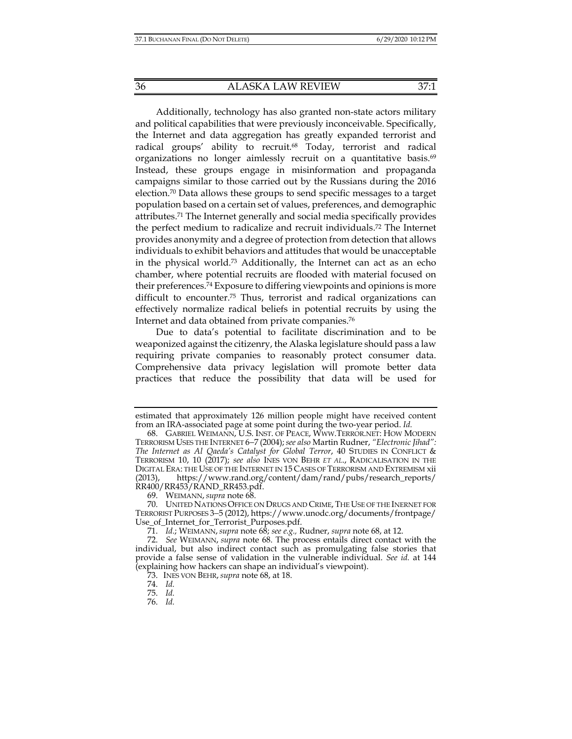Additionally, technology has also granted non-state actors military and political capabilities that were previously inconceivable. Specifically, the Internet and data aggregation has greatly expanded terrorist and radical groups' ability to recruit.<sup>68</sup> Today, terrorist and radical organizations no longer aimlessly recruit on a quantitative basis.<sup>69</sup> Instead, these groups engage in misinformation and propaganda campaigns similar to those carried out by the Russians during the 2016 election.70 Data allows these groups to send specific messages to a target population based on a certain set of values, preferences, and demographic attributes.71 The Internet generally and social media specifically provides the perfect medium to radicalize and recruit individuals.72 The Internet provides anonymity and a degree of protection from detection that allows individuals to exhibit behaviors and attitudes that would be unacceptable in the physical world.73 Additionally, the Internet can act as an echo chamber, where potential recruits are flooded with material focused on their preferences.74 Exposure to differing viewpoints and opinions is more difficult to encounter.75 Thus, terrorist and radical organizations can effectively normalize radical beliefs in potential recruits by using the Internet and data obtained from private companies.76

Due to data's potential to facilitate discrimination and to be weaponized against the citizenry, the Alaska legislature should pass a law requiring private companies to reasonably protect consumer data. Comprehensive data privacy legislation will promote better data practices that reduce the possibility that data will be used for

74. *Id.* 

75. *Id.* 

estimated that approximately 126 million people might have received content from an IRA-associated page at some point during the two-year period. *Id.*

 <sup>68.</sup> GABRIEL WEIMANN, U.S. INST. OF PEACE, WWW.TERROR.NET: HOW MODERN TERRORISM USES THE INTERNET 6−7 (2004);*see also* Martin Rudner, *"Electronic Jihad": The Internet as Al Qaeda's Catalyst for Global Terror*, 40 STUDIES IN CONFLICT & TERRORISM 10, 10 (2017); *see also* INES VON BEHR *ET AL*., RADICALISATION IN THE DIGITAL ERA: THE USE OF THE INTERNET IN 15 CASES OF TERRORISM AND EXTREMISM xii (2013), https://www.rand.org/content/dam/rand/pubs/research\_reports/ RR400/RR453/RAND\_RR453.pdf.

 <sup>69.</sup> WEIMANN, *supra* note 68.

 <sup>70.</sup> UNITED NATIONS OFFICE ON DRUGS AND CRIME, THE USE OF THE INERNET FOR TERRORIST PURPOSES 3−5 (2012), https://www.unodc.org/documents/frontpage/ Use\_of\_Internet\_for\_Terrorist\_Purposes.pdf.

 <sup>71.</sup> *Id.*; WEIMANN,*supra* note 68; *see e.g.,* Rudner, *supra* note 68, at 12.

 <sup>72.</sup> *See* WEIMANN, *supra* note 68. The process entails direct contact with the individual, but also indirect contact such as promulgating false stories that provide a false sense of validation in the vulnerable individual. *See id.* at 144 (explaining how hackers can shape an individual's viewpoint).

 <sup>73.</sup> INES VON BEHR, *supra* note 68, at 18.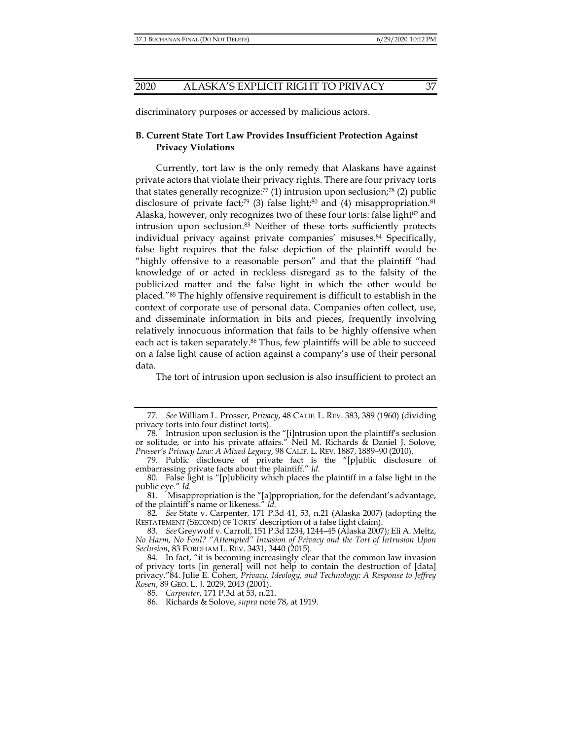discriminatory purposes or accessed by malicious actors.

## **B. Current State Tort Law Provides Insufficient Protection Against Privacy Violations**

Currently, tort law is the only remedy that Alaskans have against private actors that violate their privacy rights. There are four privacy torts that states generally recognize: $77$  (1) intrusion upon seclusion; $78$  (2) public disclosure of private fact;<sup>79</sup> (3) false light;<sup>80</sup> and (4) misappropriation.<sup>81</sup> Alaska, however, only recognizes two of these four torts: false light<sup>82</sup> and intrusion upon seclusion.83 Neither of these torts sufficiently protects individual privacy against private companies' misuses.<sup>84</sup> Specifically, false light requires that the false depiction of the plaintiff would be "highly offensive to a reasonable person" and that the plaintiff "had knowledge of or acted in reckless disregard as to the falsity of the publicized matter and the false light in which the other would be placed."85 The highly offensive requirement is difficult to establish in the context of corporate use of personal data. Companies often collect, use, and disseminate information in bits and pieces, frequently involving relatively innocuous information that fails to be highly offensive when each act is taken separately.<sup>86</sup> Thus, few plaintiffs will be able to succeed on a false light cause of action against a company's use of their personal data.

The tort of intrusion upon seclusion is also insufficient to protect an

 <sup>77.</sup> *See* William L. Prosser, *Privacy*, 48 CALIF. L. REV. 383, 389 (1960) (dividing privacy torts into four distinct torts).

 <sup>78.</sup> Intrusion upon seclusion is the "[i]ntrusion upon the plaintiff's seclusion or solitude, or into his private affairs." Neil M. Richards & Daniel J. Solove, *Prosser's Privacy Law: A Mixed Legacy*, 98 CALIF. L. REV. 1887, 1889–90 (2010).

 <sup>79.</sup> Public disclosure of private fact is the "[p]ublic disclosure of embarrassing private facts about the plaintiff." *Id.* 

 <sup>80.</sup> False light is "[p]ublicity which places the plaintiff in a false light in the public eye." *Id.* 

 <sup>81.</sup> Misappropriation is the "[a]ppropriation, for the defendant's advantage, of the plaintiff's name or likeness." *Id.*

 <sup>82.</sup> *See* State v. Carpenter*,* 171 P.3d 41, 53, n.21 (Alaska 2007) (adopting the RESTATEMENT (SECOND) OF TORTS' description of a false light claim).

 <sup>83.</sup> *See* Greywolf v. Carroll, 151 P.3d 1234, 1244–45 (Alaska 2007); Eli A. Meltz, *No Harm, No Foul? "Attempted" Invasion of Privacy and the Tort of Intrusion Upon Seclusion*, 83 FORDHAM L. REV. 3431, 3440 (2015).

 <sup>84.</sup> In fact, "it is becoming increasingly clear that the common law invasion of privacy torts [in general] will not help to contain the destruction of [data] privacy."84. Julie E. Cohen, *Privacy, Ideology, and Technology: A Response to Jeffrey Rosen*, 89 GEO. L. J. 2029, 2043 (2001).

 <sup>85.</sup> *Carpenter*, 171 P.3d at 53, n.21.

 <sup>86.</sup> Richards & Solove, *supra* note 78, at 1919.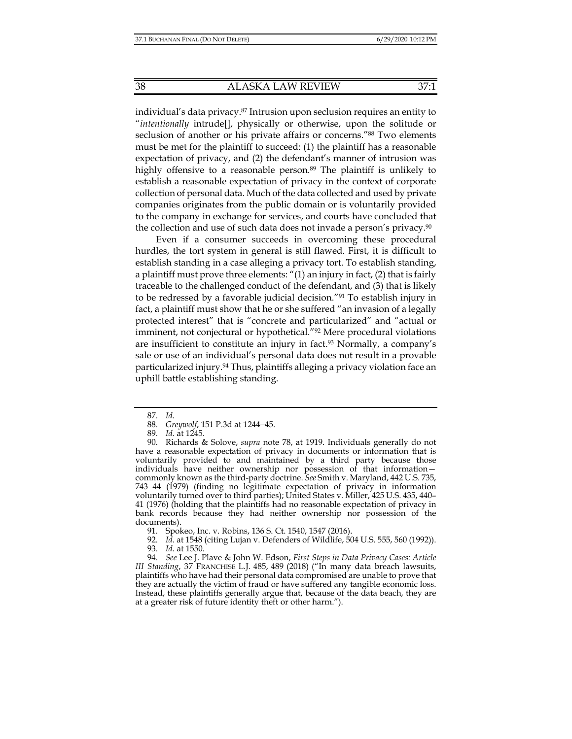individual's data privacy.87 Intrusion upon seclusion requires an entity to "*intentionally* intrude[], physically or otherwise, upon the solitude or seclusion of another or his private affairs or concerns."88 Two elements must be met for the plaintiff to succeed: (1) the plaintiff has a reasonable expectation of privacy, and (2) the defendant's manner of intrusion was highly offensive to a reasonable person.<sup>89</sup> The plaintiff is unlikely to establish a reasonable expectation of privacy in the context of corporate collection of personal data. Much of the data collected and used by private companies originates from the public domain or is voluntarily provided to the company in exchange for services, and courts have concluded that the collection and use of such data does not invade a person's privacy.<sup>90</sup>

Even if a consumer succeeds in overcoming these procedural hurdles, the tort system in general is still flawed. First, it is difficult to establish standing in a case alleging a privacy tort. To establish standing, a plaintiff must prove three elements: "(1) an injury in fact, (2) that is fairly traceable to the challenged conduct of the defendant, and (3) that is likely to be redressed by a favorable judicial decision."91 To establish injury in fact, a plaintiff must show that he or she suffered "an invasion of a legally protected interest" that is "concrete and particularized" and "actual or imminent, not conjectural or hypothetical."<sup>92</sup> Mere procedural violations are insufficient to constitute an injury in fact.<sup>93</sup> Normally, a company's sale or use of an individual's personal data does not result in a provable particularized injury.<sup>94</sup> Thus, plaintiffs alleging a privacy violation face an uphill battle establishing standing.

92. *Id.* at 1548 (citing Lujan v. Defenders of Wildlife, 504 U.S. 555, 560 (1992)).

 94. *See* Lee J. Plave & John W. Edson, *First Steps in Data Privacy Cases: Article III Standing*, 37 FRANCHISE L.J. 485, 489 (2018) ("In many data breach lawsuits, plaintiffs who have had their personal data compromised are unable to prove that they are actually the victim of fraud or have suffered any tangible economic loss. Instead, these plaintiffs generally argue that, because of the data beach, they are at a greater risk of future identity theft or other harm.").

 <sup>87.</sup> *Id.* 

 <sup>88.</sup> *Greywolf*, 151 P.3d at 1244−45.

 <sup>89.</sup> *Id.* at 1245.

 <sup>90.</sup> Richards & Solove, *supra* note 78, at 1919. Individuals generally do not have a reasonable expectation of privacy in documents or information that is voluntarily provided to and maintained by a third party because those individuals have neither ownership nor possession of that information commonly known as the third-party doctrine. *See* Smith v. Maryland, 442 U.S. 735, 743−44 (1979) (finding no legitimate expectation of privacy in information voluntarily turned over to third parties); United States v. Miller, 425 U.S. 435, 440– 41 (1976) (holding that the plaintiffs had no reasonable expectation of privacy in bank records because they had neither ownership nor possession of the documents).

 <sup>91.</sup> Spokeo, Inc. v. Robins, 136 S. Ct. 1540, 1547 (2016).

 <sup>93.</sup> *Id.* at 1550.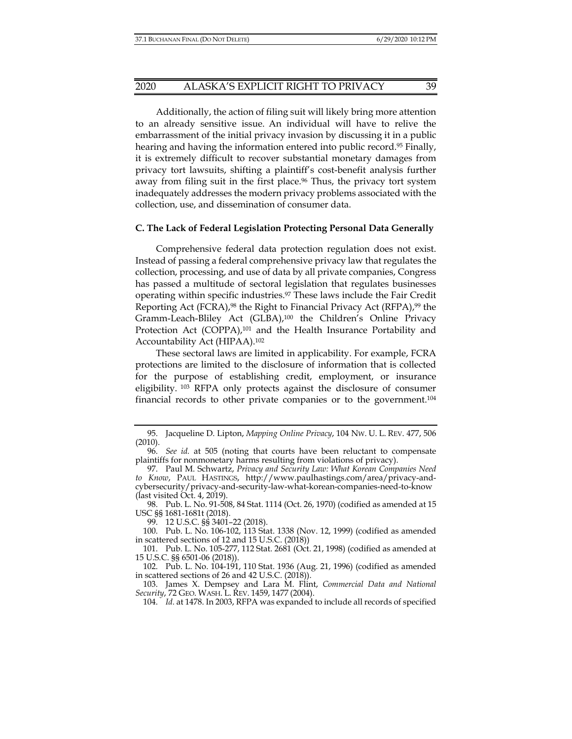Additionally, the action of filing suit will likely bring more attention to an already sensitive issue. An individual will have to relive the embarrassment of the initial privacy invasion by discussing it in a public hearing and having the information entered into public record.<sup>95</sup> Finally, it is extremely difficult to recover substantial monetary damages from privacy tort lawsuits, shifting a plaintiff's cost-benefit analysis further away from filing suit in the first place.<sup>96</sup> Thus, the privacy tort system inadequately addresses the modern privacy problems associated with the collection, use, and dissemination of consumer data.

#### **C. The Lack of Federal Legislation Protecting Personal Data Generally**

Comprehensive federal data protection regulation does not exist. Instead of passing a federal comprehensive privacy law that regulates the collection, processing, and use of data by all private companies, Congress has passed a multitude of sectoral legislation that regulates businesses operating within specific industries.97 These laws include the Fair Credit Reporting Act (FCRA),<sup>98</sup> the Right to Financial Privacy Act (RFPA),<sup>99</sup> the Gramm-Leach-Bliley Act (GLBA),100 the Children's Online Privacy Protection Act (COPPA),<sup>101</sup> and the Health Insurance Portability and Accountability Act (HIPAA).102

These sectoral laws are limited in applicability. For example, FCRA protections are limited to the disclosure of information that is collected for the purpose of establishing credit, employment, or insurance eligibility. 103 RFPA only protects against the disclosure of consumer financial records to other private companies or to the government.104

99. 12 U.S.C. §§ 3401–22 (2018).

 100. Pub. L. No. 106-102, 113 Stat. 1338 (Nov. 12, 1999) (codified as amended in scattered sections of 12 and 15 U.S.C. (2018))

 <sup>95.</sup> Jacqueline D. Lipton, *Mapping Online Privacy*, 104 NW. U. L. REV. 477, 506 (2010).

 <sup>96.</sup> *See id.* at 505 (noting that courts have been reluctant to compensate plaintiffs for nonmonetary harms resulting from violations of privacy).

 <sup>97.</sup> Paul M. Schwartz, *Privacy and Security Law: What Korean Companies Need to Know*, PAUL HASTINGS, http://www.paulhastings.com/area/privacy-andcybersecurity/privacy-and-security-law-what-korean-companies-need-to-know (last visited Oct. 4, 2019).

 <sup>98.</sup> Pub. L. No. 91-508, 84 Stat. 1114 (Oct. 26, 1970) (codified as amended at 15 USC §§ 1681-1681t (2018).

 <sup>101.</sup> Pub. L. No. 105-277, 112 Stat. 2681 (Oct. 21, 1998) (codified as amended at 15 U.S.C. §§ 6501-06 (2018)).

 <sup>102.</sup> Pub. L. No. 104-191, 110 Stat. 1936 (Aug. 21, 1996) (codified as amended in scattered sections of 26 and 42 U.S.C. (2018)).

 <sup>103.</sup> James X. Dempsey and Lara M. Flint, *Commercial Data and National Security*, 72 GEO. WASH. L. REV. 1459, 1477 (2004).

 <sup>104.</sup> *Id.* at 1478. In 2003, RFPA was expanded to include all records of specified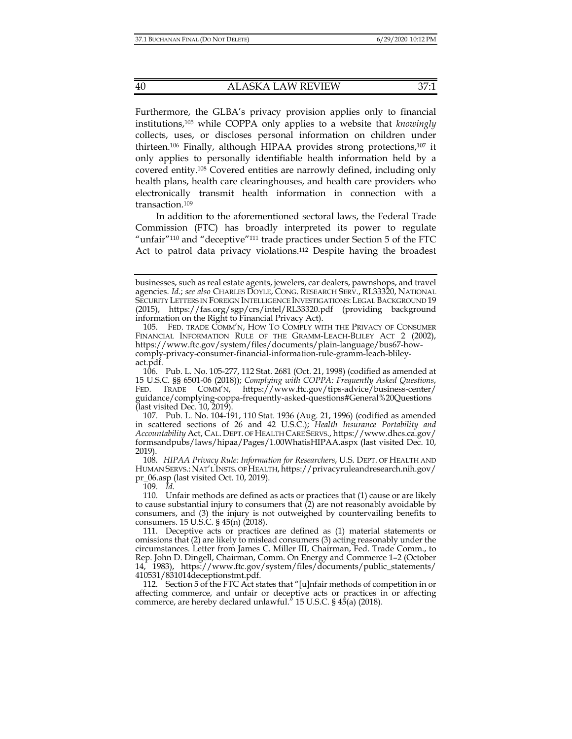Furthermore, the GLBA's privacy provision applies only to financial institutions,105 while COPPA only applies to a website that *knowingly* collects, uses, or discloses personal information on children under thirteen.106 Finally, although HIPAA provides strong protections,107 it only applies to personally identifiable health information held by a covered entity.108 Covered entities are narrowly defined, including only health plans, health care clearinghouses, and health care providers who electronically transmit health information in connection with a transaction.109

In addition to the aforementioned sectoral laws, the Federal Trade Commission (FTC) has broadly interpreted its power to regulate "unfair"110 and "deceptive"111 trade practices under Section 5 of the FTC Act to patrol data privacy violations.<sup>112</sup> Despite having the broadest

businesses, such as real estate agents, jewelers, car dealers, pawnshops, and travel agencies. *Id.*; *see also* CHARLES DOYLE, CONG. RESEARCH SERV., RL33320, NATIONAL SECURITY LETTERS IN FOREIGN INTELLIGENCE INVESTIGATIONS: LEGAL BACKGROUND 19 (2015), https://fas.org/sgp/crs/intel/RL33320.pdf (providing background information on the Right to Financial Privacy Act).

 <sup>105.</sup> FED. TRADE COMM'N, HOW TO COMPLY WITH THE PRIVACY OF CONSUMER FINANCIAL INFORMATION RULE OF THE GRAMM-LEACH-BLILEY ACT 2 (2002), https://www.ftc.gov/system/files/documents/plain-language/bus67-howcomply-privacy-consumer-financial-information-rule-gramm-leach-blileyact.pdf.

 <sup>106.</sup> Pub. L. No. 105-277, 112 Stat. 2681 (Oct. 21, 1998) (codified as amended at 15 U.S.C. §§ 6501-06 (2018)); *Complying with COPPA: Frequently Asked Questions*, FED. TRADE COMM'N, https://www.ftc.gov/tips-advice/business-center/ guidance/complying-coppa-frequently-asked-questions#General%20Questions (last visited Dec. 10, 2019).

 <sup>107.</sup> Pub. L. No. 104-191, 110 Stat. 1936 (Aug. 21, 1996) (codified as amended in scattered sections of 26 and 42 U.S.C.); *Health Insurance Portability and Accountability* Act, CAL. DEPT. OF HEALTH CARE SERVS., https://www.dhcs.ca.gov/ formsandpubs/laws/hipaa/Pages/1.00WhatisHIPAA.aspx (last visited Dec. 10, 2019).

<sup>108</sup>*. HIPAA Privacy Rule: Information for Researchers*, U.S. DEPT. OF HEALTH AND HUMAN SERVS.: NAT'L INSTS. OF HEALTH, https://privacyruleandresearch.nih.gov/ pr\_06.asp (last visited Oct. 10, 2019).

 <sup>110.</sup> Unfair methods are defined as acts or practices that (1) cause or are likely to cause substantial injury to consumers that (2) are not reasonably avoidable by consumers, and (3) the injury is not outweighed by countervailing benefits to consumers. 15 U.S.C. § 45(n) (2018).

 <sup>111.</sup> Deceptive acts or practices are defined as (1) material statements or omissions that (2) are likely to mislead consumers (3) acting reasonably under the circumstances. Letter from James C. Miller III, Chairman, Fed. Trade Comm., to Rep. John D. Dingell, Chairman, Comm. On Energy and Commerce 1–2 (October 14, 1983), https://www.ftc.gov/system/files/documents/public\_statements/ 410531/831014deceptionstmt.pdf.

 <sup>112.</sup> Section 5 of the FTC Act states that "[u]nfair methods of competition in or affecting commerce, and unfair or deceptive acts or practices in or affecting commerce, are hereby declared unlawful." 15 U.S.C. § 45(a) (2018).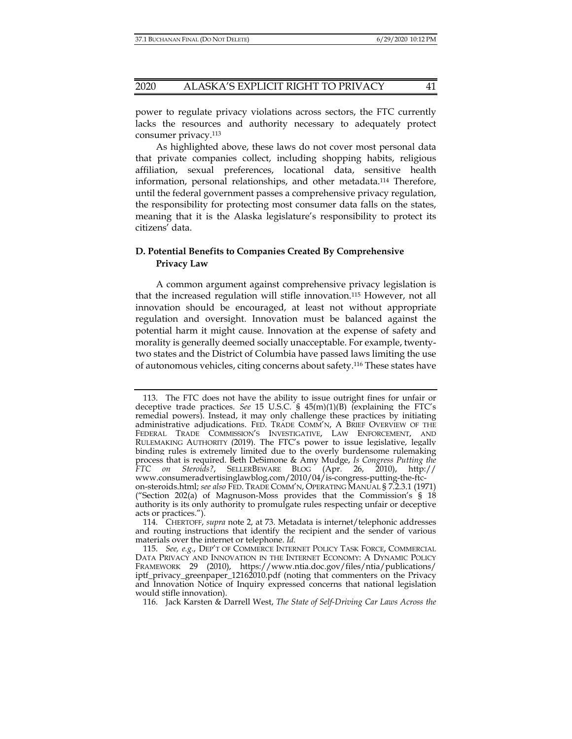power to regulate privacy violations across sectors, the FTC currently lacks the resources and authority necessary to adequately protect consumer privacy.113

As highlighted above, these laws do not cover most personal data that private companies collect, including shopping habits, religious affiliation, sexual preferences, locational data, sensitive health information, personal relationships, and other metadata.114 Therefore, until the federal government passes a comprehensive privacy regulation, the responsibility for protecting most consumer data falls on the states, meaning that it is the Alaska legislature's responsibility to protect its citizens' data.

## **D. Potential Benefits to Companies Created By Comprehensive Privacy Law**

A common argument against comprehensive privacy legislation is that the increased regulation will stifle innovation.115 However, not all innovation should be encouraged, at least not without appropriate regulation and oversight. Innovation must be balanced against the potential harm it might cause. Innovation at the expense of safety and morality is generally deemed socially unacceptable. For example, twentytwo states and the District of Columbia have passed laws limiting the use of autonomous vehicles, citing concerns about safety.116 These states have

 <sup>113.</sup> The FTC does not have the ability to issue outright fines for unfair or deceptive trade practices. *See* 15 U.S.C. § 45(m)(1)(B) (explaining the FTC's remedial powers). Instead, it may only challenge these practices by initiating administrative adjudications. FED. TRADE COMM'N, A BRIEF OVERVIEW OF THE FEDERAL TRADE COMMISSION'S INVESTIGATIVE, LAW ENFORCEMENT, AND RULEMAKING AUTHORITY (2019). The FTC's power to issue legislative, legally binding rules is extremely limited due to the overly burdensome rulemaking process that is required. Beth DeSimone & Amy Mudge, *Is Congress Putting the FTC on Steroids?*, SELLERBEWARE BLOG (Apr. 26, 2010), http:// www.consumeradvertisinglawblog.com/2010/04/is-congress-putting-the-ftcon-steroids.html; *see also* FED. TRADE COMM'N, OPERATING MANUAL § 7.2.3.1 (1971) ("Section 202(a) of Magnuson-Moss provides that the Commission's § 18 authority is its only authority to promulgate rules respecting unfair or deceptive acts or practices.").

 <sup>114.</sup> CHERTOFF, *supra* note 2, at 73. Metadata is internet/telephonic addresses and routing instructions that identify the recipient and the sender of various materials over the internet or telephone. *Id.*

 <sup>115.</sup> *See, e.g.*, DEP'T OF COMMERCE INTERNET POLICY TASK FORCE, COMMERCIAL DATA PRIVACY AND INNOVATION IN THE INTERNET ECONOMY: A DYNAMIC POLICY FRAMEWORK 29 (2010), https://www.ntia.doc.gov/files/ntia/publications/ iptf\_privacy\_greenpaper\_12162010.pdf (noting that commenters on the Privacy and Innovation Notice of Inquiry expressed concerns that national legislation would stifle innovation).

 <sup>116.</sup> Jack Karsten & Darrell West, *The State of Self-Driving Car Laws Across the*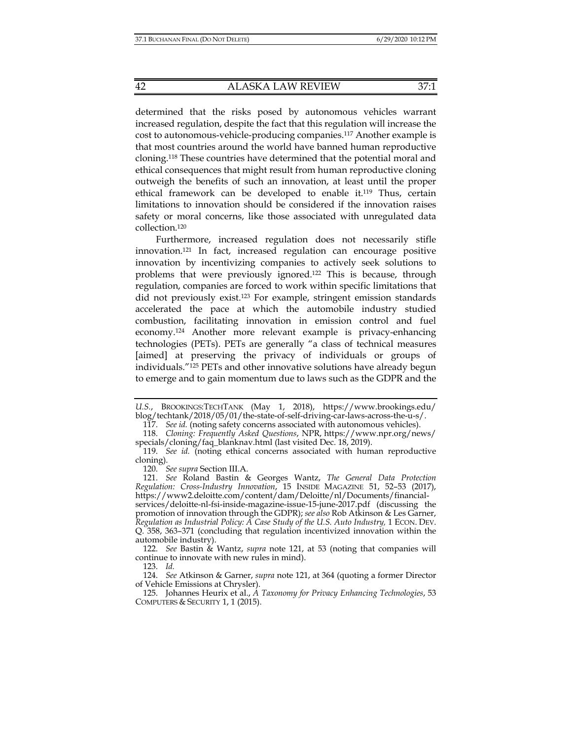determined that the risks posed by autonomous vehicles warrant increased regulation, despite the fact that this regulation will increase the cost to autonomous-vehicle-producing companies.117 Another example is that most countries around the world have banned human reproductive cloning.118 These countries have determined that the potential moral and ethical consequences that might result from human reproductive cloning outweigh the benefits of such an innovation, at least until the proper ethical framework can be developed to enable it.119 Thus, certain limitations to innovation should be considered if the innovation raises safety or moral concerns, like those associated with unregulated data collection.120

Furthermore, increased regulation does not necessarily stifle innovation.121 In fact, increased regulation can encourage positive innovation by incentivizing companies to actively seek solutions to problems that were previously ignored.122 This is because, through regulation, companies are forced to work within specific limitations that did not previously exist.123 For example, stringent emission standards accelerated the pace at which the automobile industry studied combustion, facilitating innovation in emission control and fuel economy.124 Another more relevant example is privacy-enhancing technologies (PETs). PETs are generally "a class of technical measures [aimed] at preserving the privacy of individuals or groups of individuals."125 PETs and other innovative solutions have already begun to emerge and to gain momentum due to laws such as the GDPR and the

117. *See id.* (noting safety concerns associated with autonomous vehicles).

120. *See supra* Section III.A.

*U.S.*, BROOKINGS:TECHTANK (May 1, 2018), https://www.brookings.edu/ blog/techtank/2018/05/01/the-state-of-self-driving-car-laws-across-the-u-s/.

 <sup>118.</sup> *Cloning: Frequently Asked Questions*, NPR, https://www.npr.org/news/ specials/cloning/faq\_blanknav.html (last visited Dec. 18, 2019).

 <sup>119.</sup> *See id.* (noting ethical concerns associated with human reproductive cloning).

 <sup>121.</sup> *See* Roland Bastin & Georges Wantz, *The General Data Protection Regulation: Cross-Industry Innovation*, 15 INSIDE MAGAZINE 51, 52–53 (2017), https://www2.deloitte.com/content/dam/Deloitte/nl/Documents/financialservices/deloitte-nl-fsi-inside-magazine-issue-15-june-2017.pdf (discussing the promotion of innovation through the GDPR); *see also* Rob Atkinson & Les Garner, *Regulation as Industrial Policy: A Case Study of the U.S. Auto Industry,* 1 ECON. DEV. Q. 358, 363–371 (concluding that regulation incentivized innovation within the automobile industry).

 <sup>122.</sup> *See* Bastin & Wantz, *supra* note 121, at 53 (noting that companies will continue to innovate with new rules in mind).

 <sup>124.</sup> *See* Atkinson & Garner, *supra* note 121, at 364 (quoting a former Director of Vehicle Emissions at Chrysler).

 <sup>125.</sup> Johannes Heurix et al., *A Taxonomy for Privacy Enhancing Technologies*, 53 COMPUTERS & SECURITY 1, 1 (2015).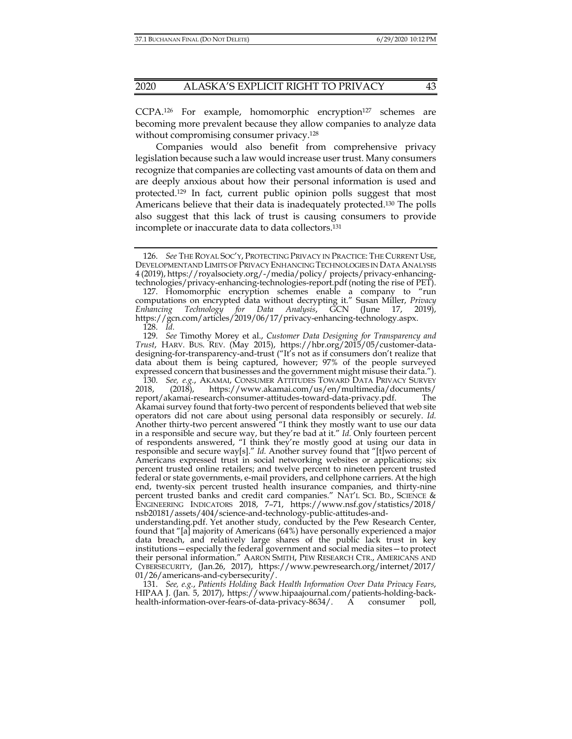CCPA.<sup>126</sup> For example, homomorphic encryption<sup>127</sup> schemes are becoming more prevalent because they allow companies to analyze data without compromising consumer privacy.<sup>128</sup>

Companies would also benefit from comprehensive privacy legislation because such a law would increase user trust. Many consumers recognize that companies are collecting vast amounts of data on them and are deeply anxious about how their personal information is used and protected.129 In fact, current public opinion polls suggest that most Americans believe that their data is inadequately protected.130 The polls also suggest that this lack of trust is causing consumers to provide incomplete or inaccurate data to data collectors.131

 127. Homomorphic encryption schemes enable a company to "run computations on encrypted data without decrypting it." Susan Miller, *Privacy Enhancing Technology for Data Analysis*, GCN (June 17, 2019), https://gcn.com/articles/2019/06/17/privacy-enhancing-technology.aspx. 128. *Id.*

 129. *See* Timothy Morey et al., *Customer Data Designing for Transparency and Trust*, HARV. BUS. REV. (May 2015), https://hbr.org/2015/05/customer-datadesigning-for-transparency-and-trust ("It's not as if consumers don't realize that data about them is being captured, however; 97% of the people surveyed expressed concern that businesses and the government might misuse their data.").

 130. *See, e.g.*, AKAMAI, CONSUMER ATTITUDES TOWARD DATA PRIVACY SURVEY 2018, (2018), https://www.akamai.com/us/en/multimedia/documents/ report/akamai-research-consumer-attitudes-toward-data-privacy.pdf. The Akamai survey found that forty-two percent of respondents believed that web site operators did not care about using personal data responsibly or securely. *Id.*  Another thirty-two percent answered "I think they mostly want to use our data in a responsible and secure way, but they're bad at it." *Id.* Only fourteen percent of respondents answered, "I think they're mostly good at using our data in responsible and secure way[s]." *Id.* Another survey found that "[t]wo percent of Americans expressed trust in social networking websites or applications; six percent trusted online retailers; and twelve percent to nineteen percent trusted federal or state governments, e-mail providers, and cellphone carriers. At the high end, twenty-six percent trusted health insurance companies, and thirty-nine percent trusted banks and credit card companies." NAT'L SCI. BD., SCIENCE & ENGINEERING INDICATORS 2018, 7–71, https://www.nsf.gov/statistics/2018/ nsb20181/assets/404/science-and-technology-public-attitudes-and-

understanding.pdf. Yet another study, conducted by the Pew Research Center, found that "[a] majority of Americans (64%) have personally experienced a major data breach, and relatively large shares of the public lack trust in key institutions—especially the federal government and social media sites—to protect their personal information." AARON SMITH, PEW RESEARCH CTR., AMERICANS AND CYBERSECURITY, (Jan.26, 2017), https://www.pewresearch.org/internet/2017/ 01/26/americans-and-cybersecurity/.

 131. *See, e.g.*, *Patients Holding Back Health Information Over Data Privacy Fears*, HIPAA J. (Jan. 5, 2017), https://www.hipaajournal.com/patients-holding-backhealth-information-over-fears-of-data-privacy-8634/. A consumer poll,

 <sup>126.</sup> *See* THE ROYAL SOC'Y, PROTECTING PRIVACY IN PRACTICE: THE CURRENT USE, DEVELOPMENTAND LIMITS OF PRIVACY ENHANCING TECHNOLOGIES IN DATA ANALYSIS 4 (2019), https://royalsociety.org/-/media/policy/ projects/privacy-enhancingtechnologies/privacy-enhancing-technologies-report.pdf (noting the rise of PET).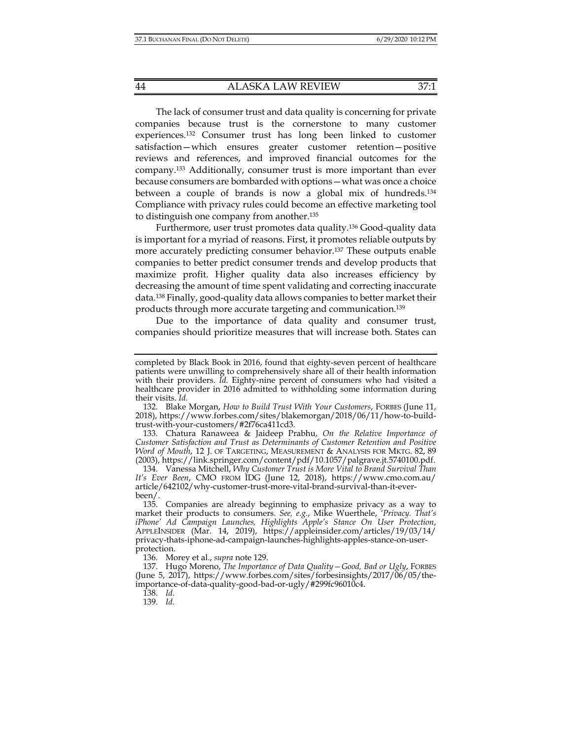44 ALASKA LAW REVIEW 37:1

The lack of consumer trust and data quality is concerning for private companies because trust is the cornerstone to many customer experiences.132 Consumer trust has long been linked to customer satisfaction—which ensures greater customer retention—positive reviews and references, and improved financial outcomes for the company.133 Additionally, consumer trust is more important than ever because consumers are bombarded with options—what was once a choice between a couple of brands is now a global mix of hundreds.134 Compliance with privacy rules could become an effective marketing tool to distinguish one company from another.135

Furthermore, user trust promotes data quality.136 Good-quality data is important for a myriad of reasons. First, it promotes reliable outputs by more accurately predicting consumer behavior.137 These outputs enable companies to better predict consumer trends and develop products that maximize profit. Higher quality data also increases efficiency by decreasing the amount of time spent validating and correcting inaccurate data.138 Finally, good-quality data allows companies to better market their products through more accurate targeting and communication.139

Due to the importance of data quality and consumer trust, companies should prioritize measures that will increase both. States can

 133. Chatura Ranaweea & Jaideep Prabhu, *On the Relative Importance of Customer Satisfaction and Trust as Determinants of Customer Retention and Positive Word of Mouth*, 12 J. OF TARGETING, MEASUREMENT & ANALYSIS FOR MKTG. 82, 89 (2003), https://link.springer.com/content/pdf/10.1057/palgrave.jt.5740100.pdf.

136. Morey et al., *supra* note 129.

138. *Id.*

completed by Black Book in 2016, found that eighty-seven percent of healthcare patients were unwilling to comprehensively share all of their health information with their providers. *Id.* Eighty-nine percent of consumers who had visited a healthcare provider in 2016 admitted to withholding some information during their visits. *Id.*

 <sup>132.</sup> Blake Morgan, *How to Build Trust With Your Customers*, FORBES (June 11, 2018), https://www.forbes.com/sites/blakemorgan/2018/06/11/how-to-buildtrust-with-your-customers/#2f76ca411cd3.

 <sup>134.</sup> Vanessa Mitchell, *Why Customer Trust is More Vital to Brand Survival Than It's Ever Been*, CMO FROM IDG (June 12, 2018), https://www.cmo.com.au/ article/642102/why-customer-trust-more-vital-brand-survival-than-it-everbeen/.

 <sup>135.</sup> Companies are already beginning to emphasize privacy as a way to market their products to consumers. *See, e.g.*, Mike Wuerthele, *'Privacy. That's iPhone' Ad Campaign Launches, Highlights Apple's Stance On User Protection*, APPLEINSIDER (Mar. 14, 2019), https://appleinsider.com/articles/19/03/14/ privacy-thats-iphone-ad-campaign-launches-highlights-apples-stance-on-userprotection.

 <sup>137.</sup> Hugo Moreno, *The Importance of Data Quality—Good, Bad or Ugly*, FORBES (June 5, 2017), https://www.forbes.com/sites/forbesinsights/2017/06/05/theimportance-of-data-quality-good-bad-or-ugly/#299fc96010c4.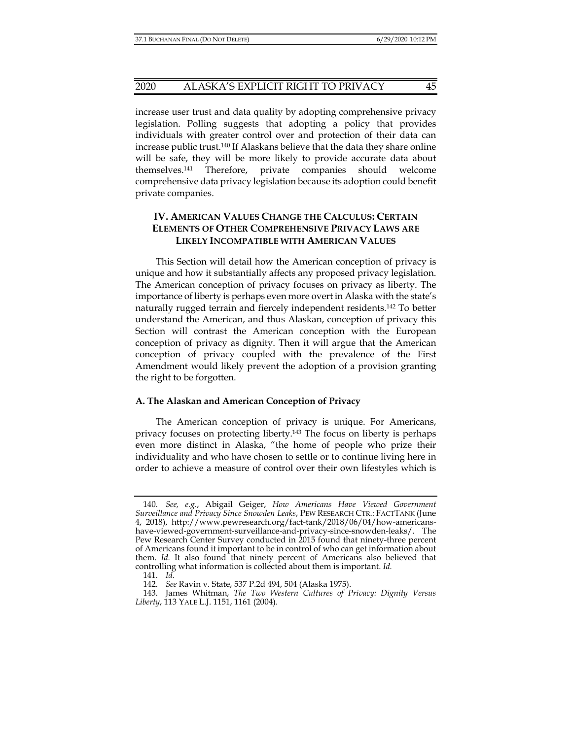#### 2020 ALASKA'S EXPLICIT RIGHT TO PRIVACY 45

increase user trust and data quality by adopting comprehensive privacy legislation. Polling suggests that adopting a policy that provides individuals with greater control over and protection of their data can increase public trust.140 If Alaskans believe that the data they share online will be safe, they will be more likely to provide accurate data about themselves.141 Therefore, private companies should welcome comprehensive data privacy legislation because its adoption could benefit private companies.

# **IV. AMERICAN VALUES CHANGE THE CALCULUS: CERTAIN ELEMENTS OF OTHER COMPREHENSIVE PRIVACY LAWS ARE LIKELY INCOMPATIBLE WITH AMERICAN VALUES**

This Section will detail how the American conception of privacy is unique and how it substantially affects any proposed privacy legislation. The American conception of privacy focuses on privacy as liberty. The importance of liberty is perhaps even more overt in Alaska with the state's naturally rugged terrain and fiercely independent residents.142 To better understand the American, and thus Alaskan, conception of privacy this Section will contrast the American conception with the European conception of privacy as dignity. Then it will argue that the American conception of privacy coupled with the prevalence of the First Amendment would likely prevent the adoption of a provision granting the right to be forgotten.

#### **A. The Alaskan and American Conception of Privacy**

The American conception of privacy is unique. For Americans, privacy focuses on protecting liberty.143 The focus on liberty is perhaps even more distinct in Alaska, "the home of people who prize their individuality and who have chosen to settle or to continue living here in order to achieve a measure of control over their own lifestyles which is

 <sup>140.</sup> *See, e.g.*, Abigail Geiger, *How Americans Have Viewed Government Surveillance and Privacy Since Snowden Leaks*, PEW RESEARCH CTR.: FACTTANK (June 4, 2018), http://www.pewresearch.org/fact-tank/2018/06/04/how-americanshave-viewed-government-surveillance-and-privacy-since-snowden-leaks/. The Pew Research Center Survey conducted in 2015 found that ninety-three percent of Americans found it important to be in control of who can get information about them. *Id.* It also found that ninety percent of Americans also believed that controlling what information is collected about them is important. *Id.* 

 <sup>141.</sup> *Id.*

 <sup>142.</sup> *See* Ravin v. State, 537 P.2d 494, 504 (Alaska 1975).

 <sup>143.</sup> James Whitman, *The Two Western Cultures of Privacy: Dignity Versus Liberty*, 113 YALE L.J. 1151, 1161 (2004).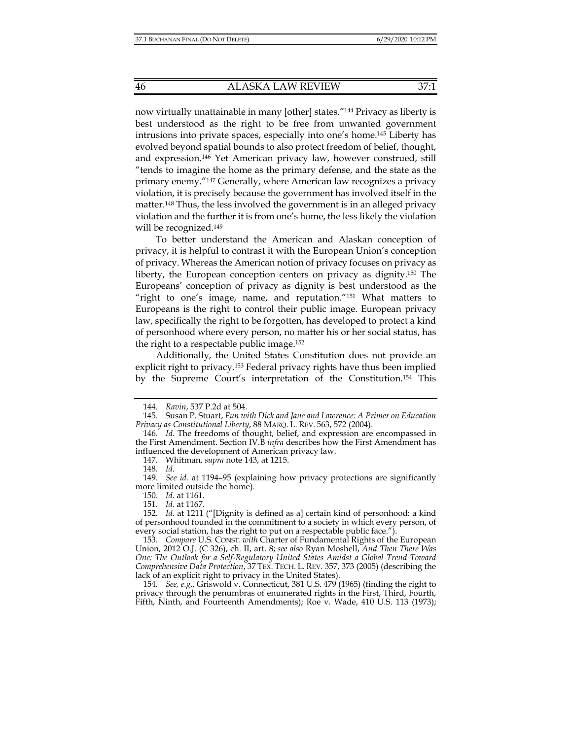now virtually unattainable in many [other] states."144 Privacy as liberty is best understood as the right to be free from unwanted government intrusions into private spaces, especially into one's home.145 Liberty has evolved beyond spatial bounds to also protect freedom of belief, thought, and expression.146 Yet American privacy law, however construed, still "tends to imagine the home as the primary defense, and the state as the primary enemy."147 Generally, where American law recognizes a privacy violation, it is precisely because the government has involved itself in the matter.<sup>148</sup> Thus, the less involved the government is in an alleged privacy violation and the further it is from one's home, the less likely the violation will be recognized.<sup>149</sup>

To better understand the American and Alaskan conception of privacy, it is helpful to contrast it with the European Union's conception of privacy. Whereas the American notion of privacy focuses on privacy as liberty, the European conception centers on privacy as dignity.150 The Europeans' conception of privacy as dignity is best understood as the "right to one's image, name, and reputation."151 What matters to Europeans is the right to control their public image. European privacy law, specifically the right to be forgotten, has developed to protect a kind of personhood where every person, no matter his or her social status, has the right to a respectable public image.152

Additionally, the United States Constitution does not provide an explicit right to privacy.153 Federal privacy rights have thus been implied by the Supreme Court's interpretation of the Constitution.154 This

 <sup>144.</sup> *Ravin*, 537 P.2d at 504.

 <sup>145.</sup> Susan P. Stuart, *Fun with Dick and Jane and Lawrence: A Primer on Education Privacy as Constitutional Liberty*, 88 MARQ. L. REV. 563, 572 (2004).

 <sup>146.</sup> *Id.* The freedoms of thought, belief, and expression are encompassed in the First Amendment. Section IV.B *infra* describes how the First Amendment has influenced the development of American privacy law.

 <sup>147.</sup> Whitman, *supra* note 143, at 1215.

 <sup>148.</sup> *Id.*

 <sup>149.</sup> *See id.* at 1194–95 (explaining how privacy protections are significantly more limited outside the home).

 <sup>150.</sup> *Id.* at 1161.

 <sup>151.</sup> *Id.* at 1167.

 <sup>152.</sup> *Id.* at 1211 ("[Dignity is defined as a] certain kind of personhood: a kind of personhood founded in the commitment to a society in which every person, of every social station, has the right to put on a respectable public face.").

 <sup>153.</sup> *Compare* U.S. CONST. *with* Charter of Fundamental Rights of the European Union, 2012 O.J. (C 326), ch. II, art. 8; *see also* Ryan Moshell, *And Then There Was One: The Outlook for a Self-Regulatory United States Amidst a Global Trend Toward Comprehensive Data Protection*, 37 TEX. TECH. L. REV. 357, 373 (2005) (describing the lack of an explicit right to privacy in the United States).

 <sup>154.</sup> *See, e.g.*, Griswold v. Connecticut, 381 U.S. 479 (1965) (finding the right to privacy through the penumbras of enumerated rights in the First, Third, Fourth, Fifth, Ninth, and Fourteenth Amendments); Roe v. Wade, 410 U.S. 113 (1973);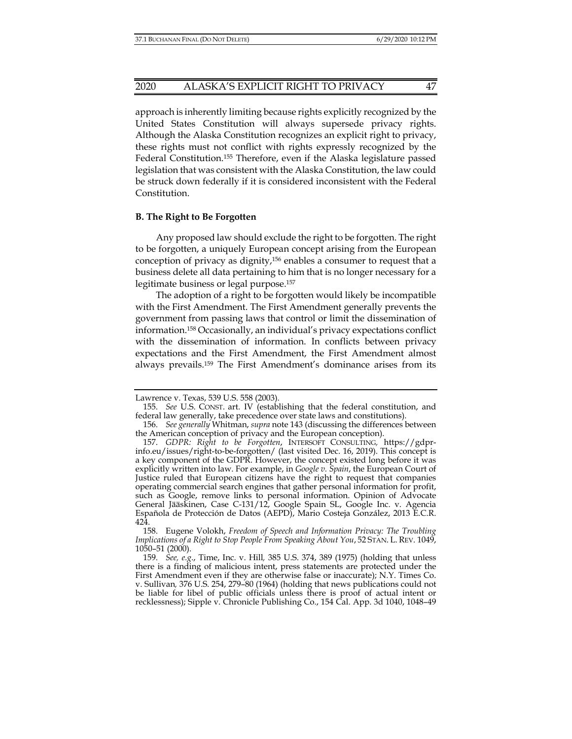#### 2020 ALASKA'S EXPLICIT RIGHT TO PRIVACY 47

approach is inherently limiting because rights explicitly recognized by the United States Constitution will always supersede privacy rights. Although the Alaska Constitution recognizes an explicit right to privacy, these rights must not conflict with rights expressly recognized by the Federal Constitution.155 Therefore, even if the Alaska legislature passed legislation that was consistent with the Alaska Constitution, the law could be struck down federally if it is considered inconsistent with the Federal Constitution.

#### **B. The Right to Be Forgotten**

Any proposed law should exclude the right to be forgotten. The right to be forgotten, a uniquely European concept arising from the European conception of privacy as dignity,156 enables a consumer to request that a business delete all data pertaining to him that is no longer necessary for a legitimate business or legal purpose.157

The adoption of a right to be forgotten would likely be incompatible with the First Amendment. The First Amendment generally prevents the government from passing laws that control or limit the dissemination of information.158 Occasionally, an individual's privacy expectations conflict with the dissemination of information. In conflicts between privacy expectations and the First Amendment, the First Amendment almost always prevails.159 The First Amendment's dominance arises from its

Lawrence v. Texas, 539 U.S. 558 (2003).

 <sup>155.</sup> *See* U.S. CONST. art. IV (establishing that the federal constitution, and federal law generally, take precedence over state laws and constitutions).

 <sup>156.</sup> *See generally* Whitman, *supra* note 143 (discussing the differences between the American conception of privacy and the European conception).

 <sup>157.</sup> *GDPR: Right to be Forgotten*, INTERSOFT CONSULTING*,* https://gdprinfo.eu/issues/right-to-be-forgotten/ (last visited Dec. 16, 2019). This concept is a key component of the GDPR. However, the concept existed long before it was explicitly written into law. For example, in *Google v. Spain*, the European Court of Justice ruled that European citizens have the right to request that companies operating commercial search engines that gather personal information for profit, such as Google, remove links to personal information. Opinion of Advocate General Jääskinen, Case C-131/12, Google Spain SL, Google Inc. v. Agencia Española de Protección de Datos (AEPD), Mario Costeja González, 2013 E.C.R. 424.

 <sup>158.</sup> Eugene Volokh, *Freedom of Speech and Information Privacy: The Troubling Implications of a Right to Stop People From Speaking About You*, 52 STAN. L. REV. 1049, 1050–51 (2000).

 <sup>159.</sup> *See, e.g*., Time, Inc. v. Hill*,* 385 U.S. 374, 389 (1975) (holding that unless there is a finding of malicious intent, press statements are protected under the First Amendment even if they are otherwise false or inaccurate); N.Y. Times Co. v. Sullivan*,* 376 U.S. 254, 279–80 (1964) (holding that news publications could not be liable for libel of public officials unless there is proof of actual intent or recklessness); Sipple v. Chronicle Publishing Co., 154 Cal. App. 3d 1040, 1048-49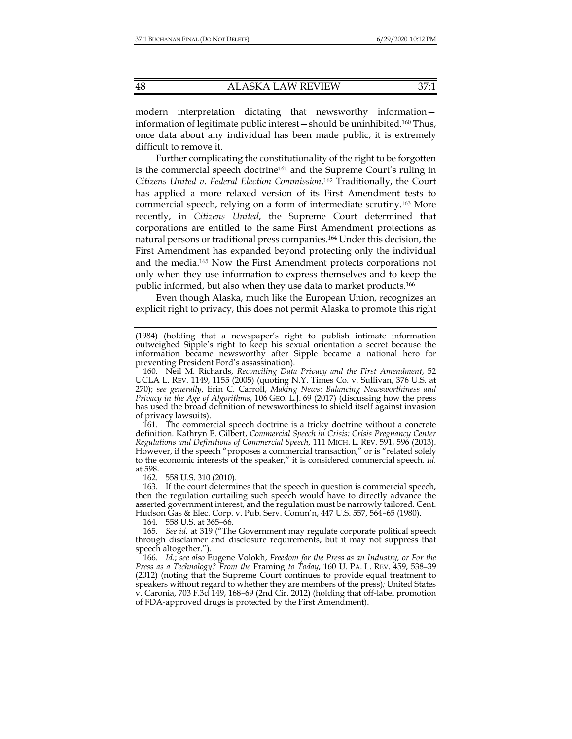modern interpretation dictating that newsworthy information information of legitimate public interest—should be uninhibited.160 Thus, once data about any individual has been made public, it is extremely difficult to remove it.

Further complicating the constitutionality of the right to be forgotten is the commercial speech doctrine<sup>161</sup> and the Supreme Court's ruling in *Citizens United v. Federal Election Commission*. 162 Traditionally, the Court has applied a more relaxed version of its First Amendment tests to commercial speech, relying on a form of intermediate scrutiny.163 More recently, in *Citizens United*, the Supreme Court determined that corporations are entitled to the same First Amendment protections as natural persons or traditional press companies.164 Under this decision, the First Amendment has expanded beyond protecting only the individual and the media.165 Now the First Amendment protects corporations not only when they use information to express themselves and to keep the public informed, but also when they use data to market products.166

Even though Alaska, much like the European Union, recognizes an explicit right to privacy, this does not permit Alaska to promote this right

 161. The commercial speech doctrine is a tricky doctrine without a concrete definition. Kathryn E. Gilbert, *Commercial Speech in Crisis: Crisis Pregnancy Center Regulations and Definitions of Commercial Speech*, 111 MICH. L. REV. 591, 596 (2013). However, if the speech "proposes a commercial transaction," or is "related solely to the economic interests of the speaker," it is considered commercial speech. *Id.*  at 598.

162. 558 U.S. 310 (2010).

 163. If the court determines that the speech in question is commercial speech, then the regulation curtailing such speech would have to directly advance the asserted government interest, and the regulation must be narrowly tailored. Cent. Hudson Gas & Elec. Corp. v. Pub. Serv. Comm'n, 447 U.S. 557, 564–65 (1980).

164. 558 U.S. at 365–66.

 165. *See id.* at 319 ("The Government may regulate corporate political speech through disclaimer and disclosure requirements, but it may not suppress that speech altogether.").

 166. *Id.*; *see also* Eugene Volokh, *Freedom for the Press as an Industry, or For the Press as a Technology? From the* Framing *to Today*, 160 U. PA. L. REV. 459, 538–39 (2012) (noting that the Supreme Court continues to provide equal treatment to speakers without regard to whether they are members of the press)*;* United States v. Caronia, 703 F.3d 149, 168–69 (2nd Cir. 2012) (holding that off-label promotion of FDA-approved drugs is protected by the First Amendment).

<sup>(1984) (</sup>holding that a newspaper's right to publish intimate information outweighed Sipple's right to keep his sexual orientation a secret because the information became newsworthy after Sipple became a national hero for preventing President Ford's assassination).

 <sup>160.</sup> Neil M. Richards, *Reconciling Data Privacy and the First Amendment*, 52 UCLA L. REV. 1149, 1155 (2005) (quoting N.Y. Times Co. v. Sullivan, 376 U.S. at 270); *see generally*, Erin C. Carroll, *Making News: Balancing Newsworthiness and Privacy in the Age of Algorithms*, 106 GEO. L.J. 69 (2017) (discussing how the press has used the broad definition of newsworthiness to shield itself against invasion of privacy lawsuits).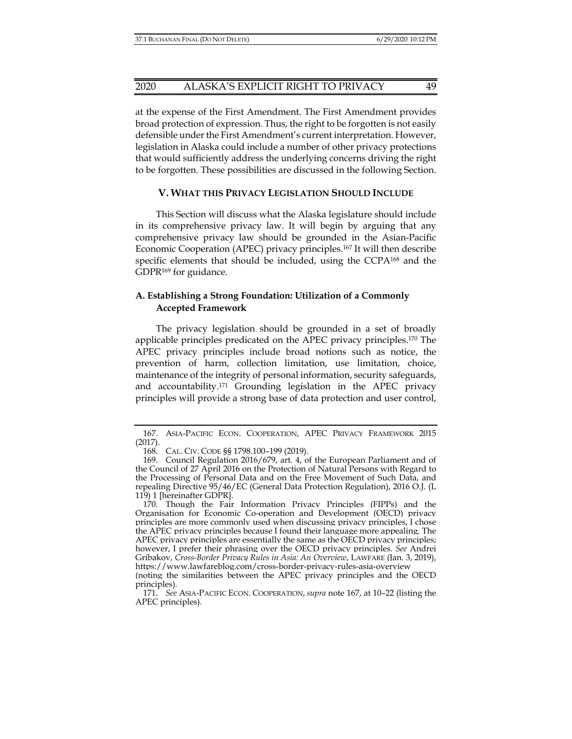at the expense of the First Amendment. The First Amendment provides broad protection of expression. Thus, the right to be forgotten is not easily defensible under the First Amendment's current interpretation. However, legislation in Alaska could include a number of other privacy protections that would sufficiently address the underlying concerns driving the right to be forgotten. These possibilities are discussed in the following Section.

## **V. WHAT THIS PRIVACY LEGISLATION SHOULD INCLUDE**

This Section will discuss what the Alaska legislature should include in its comprehensive privacy law. It will begin by arguing that any comprehensive privacy law should be grounded in the Asian-Pacific Economic Cooperation (APEC) privacy principles.167 It will then describe specific elements that should be included, using the CCPA<sup>168</sup> and the GDPR169 for guidance.

# **A. Establishing a Strong Foundation: Utilization of a Commonly Accepted Framework**

The privacy legislation should be grounded in a set of broadly applicable principles predicated on the APEC privacy principles.170 The APEC privacy principles include broad notions such as notice, the prevention of harm, collection limitation, use limitation, choice, maintenance of the integrity of personal information, security safeguards, and accountability.171 Grounding legislation in the APEC privacy principles will provide a strong base of data protection and user control,

 <sup>167.</sup> ASIA-PACIFIC ECON. COOPERATION, APEC PRIVACY FRAMEWORK 2015 (2017).

 <sup>168.</sup> CAL. CIV. CODE §§ 1798.100–199 (2019).

 <sup>169.</sup> Council Regulation 2016/679, art. 4, of the European Parliament and of the Council of 27 April 2016 on the Protection of Natural Persons with Regard to the Processing of Personal Data and on the Free Movement of Such Data, and repealing Directive 95/46/EC (General Data Protection Regulation), 2016 O.J. (L 119) 1 [hereinafter GDPR].

 <sup>170.</sup> Though the Fair Information Privacy Principles (FIPPs) and the Organisation for Economic Co-operation and Development (OECD) privacy principles are more commonly used when discussing privacy principles, I chose the APEC privacy principles because I found their language more appealing. The APEC privacy principles are essentially the same as the OECD privacy principles; however, I prefer their phrasing over the OECD privacy principles. *See* Andrei Gribakov, *Cross-Border Privacy Rules in Asia: An Overview*, LAWFARE (Jan. 3, 2019), https://www.lawfareblog.com/cross-border-privacy-rules-asia-overview

<sup>(</sup>noting the similarities between the APEC privacy principles and the OECD principles).

 <sup>171.</sup> *See* ASIA-PACIFIC ECON. COOPERATION, *supra* note 167, at 10–22 (listing the APEC principles).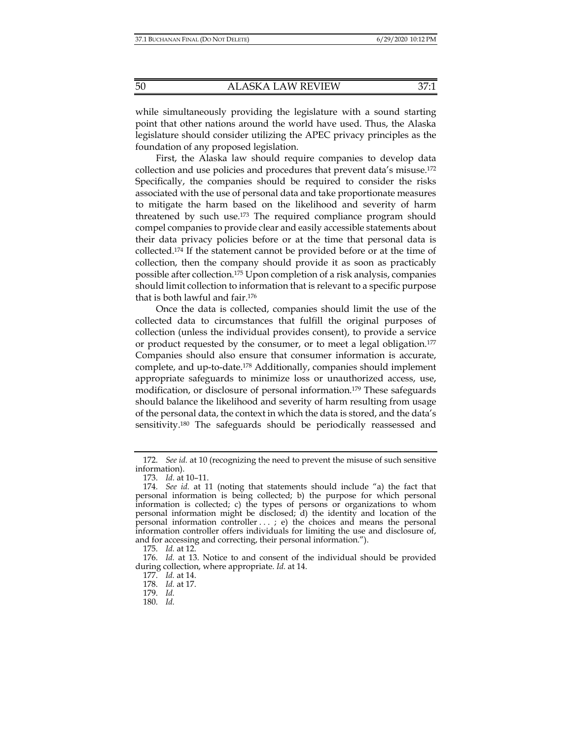while simultaneously providing the legislature with a sound starting point that other nations around the world have used. Thus, the Alaska legislature should consider utilizing the APEC privacy principles as the foundation of any proposed legislation.

First, the Alaska law should require companies to develop data collection and use policies and procedures that prevent data's misuse.172 Specifically, the companies should be required to consider the risks associated with the use of personal data and take proportionate measures to mitigate the harm based on the likelihood and severity of harm threatened by such use.173 The required compliance program should compel companies to provide clear and easily accessible statements about their data privacy policies before or at the time that personal data is collected.174 If the statement cannot be provided before or at the time of collection, then the company should provide it as soon as practicably possible after collection.175 Upon completion of a risk analysis, companies should limit collection to information that is relevant to a specific purpose that is both lawful and fair.176

Once the data is collected, companies should limit the use of the collected data to circumstances that fulfill the original purposes of collection (unless the individual provides consent), to provide a service or product requested by the consumer, or to meet a legal obligation.<sup>177</sup> Companies should also ensure that consumer information is accurate, complete, and up-to-date.178 Additionally, companies should implement appropriate safeguards to minimize loss or unauthorized access, use, modification, or disclosure of personal information.179 These safeguards should balance the likelihood and severity of harm resulting from usage of the personal data, the context in which the data is stored, and the data's sensitivity.<sup>180</sup> The safeguards should be periodically reassessed and

177. *Id.* at 14.

 <sup>172.</sup> *See id.* at 10 (recognizing the need to prevent the misuse of such sensitive information).

 <sup>173.</sup> *Id.* at 10–11.

 <sup>174.</sup> *See id.* at 11 (noting that statements should include "a) the fact that personal information is being collected; b) the purpose for which personal information is collected; c) the types of persons or organizations to whom personal information might be disclosed; d) the identity and location of the personal information controller ...; e) the choices and means the personal information controller offers individuals for limiting the use and disclosure of, and for accessing and correcting, their personal information.").

 <sup>175.</sup> *Id.* at 12.

 <sup>176.</sup> *Id.* at 13. Notice to and consent of the individual should be provided during collection, where appropriate. *Id.* at 14.

 <sup>178.</sup> *Id.* at 17.

 <sup>179.</sup> *Id.* 

 <sup>180.</sup> *Id.*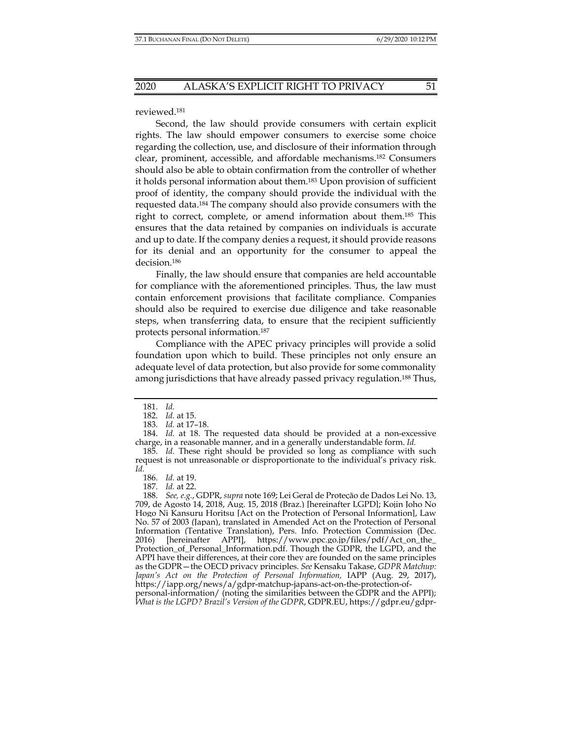reviewed.181

Second, the law should provide consumers with certain explicit rights. The law should empower consumers to exercise some choice regarding the collection, use, and disclosure of their information through clear, prominent, accessible, and affordable mechanisms.182 Consumers should also be able to obtain confirmation from the controller of whether it holds personal information about them.183 Upon provision of sufficient proof of identity, the company should provide the individual with the requested data.184 The company should also provide consumers with the right to correct, complete, or amend information about them.185 This ensures that the data retained by companies on individuals is accurate and up to date. If the company denies a request, it should provide reasons for its denial and an opportunity for the consumer to appeal the decision.186

Finally, the law should ensure that companies are held accountable for compliance with the aforementioned principles. Thus, the law must contain enforcement provisions that facilitate compliance. Companies should also be required to exercise due diligence and take reasonable steps, when transferring data, to ensure that the recipient sufficiently protects personal information.187

Compliance with the APEC privacy principles will provide a solid foundation upon which to build. These principles not only ensure an adequate level of data protection, but also provide for some commonality among jurisdictions that have already passed privacy regulation.<sup>188</sup> Thus,

personal-information/ (noting the similarities between the GDPR and the APPI); *What is the LGPD? Brazil's Version of the GDPR*, GDPR.EU, https://gdpr.eu/gdpr-

 <sup>181.</sup> *Id.* 

 <sup>182.</sup> *Id.* at 15.

 <sup>183.</sup> *Id.* at 17–18.

 <sup>184.</sup> *Id.* at 18. The requested data should be provided at a non-excessive charge, in a reasonable manner, and in a generally understandable form. *Id.* 

 <sup>185.</sup> *Id.* These right should be provided so long as compliance with such request is not unreasonable or disproportionate to the individual's privacy risk. *Id.* 

 <sup>186.</sup> *Id.* at 19.

 <sup>187.</sup> *Id.* at 22.

 <sup>188.</sup> *See, e.g.*, GDPR, *supra* note 169; Lei Geral de Proteção de Dados Lei No. 13, 709, de Agosto 14, 2018, Aug. 15, 2018 (Braz.) [hereinafter LGPD]; Kojin Joho No Hogo Ni Kansuru Horitsu [Act on the Protection of Personal Information], Law No. 57 of 2003 (Japan), translated in Amended Act on the Protection of Personal Information (Tentative Translation), Pers. Info. Protection Commission (Dec. 2016) [hereinafter APPI], https://www.ppc.go.jp/files/pdf/Act\_on\_the\_ Protection\_of\_Personal\_Information.pdf. Though the GDPR, the LGPD, and the APPI have their differences, at their core they are founded on the same principles as the GDPR—the OECD privacy principles. *See* Kensaku Takase, *GDPR Matchup: Japan's Act on the Protection of Personal Information,* IAPP (Aug. 29, 2017), https://iapp.org/news/a/gdpr-matchup-japans-act-on-the-protection-of-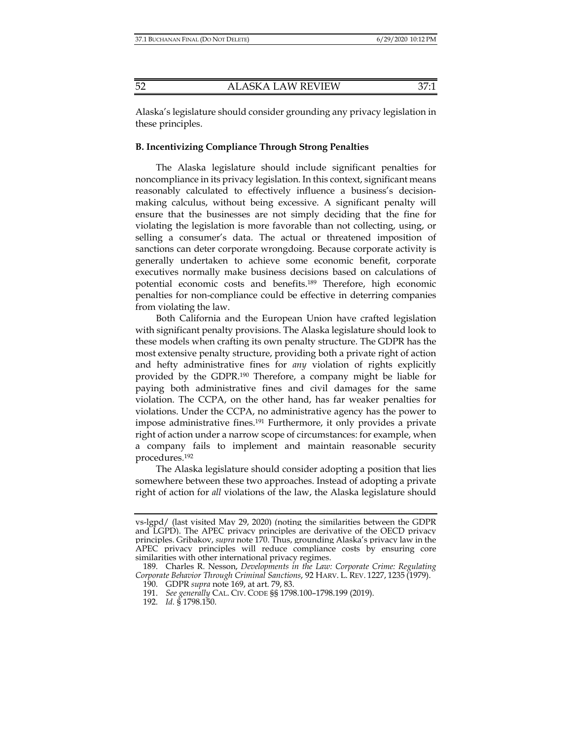Alaska's legislature should consider grounding any privacy legislation in these principles.

#### **B. Incentivizing Compliance Through Strong Penalties**

The Alaska legislature should include significant penalties for noncompliance in its privacy legislation. In this context, significant means reasonably calculated to effectively influence a business's decisionmaking calculus, without being excessive. A significant penalty will ensure that the businesses are not simply deciding that the fine for violating the legislation is more favorable than not collecting, using, or selling a consumer's data. The actual or threatened imposition of sanctions can deter corporate wrongdoing. Because corporate activity is generally undertaken to achieve some economic benefit, corporate executives normally make business decisions based on calculations of potential economic costs and benefits.189 Therefore, high economic penalties for non-compliance could be effective in deterring companies from violating the law.

Both California and the European Union have crafted legislation with significant penalty provisions. The Alaska legislature should look to these models when crafting its own penalty structure. The GDPR has the most extensive penalty structure, providing both a private right of action and hefty administrative fines for *any* violation of rights explicitly provided by the GDPR.190 Therefore, a company might be liable for paying both administrative fines and civil damages for the same violation. The CCPA, on the other hand, has far weaker penalties for violations. Under the CCPA, no administrative agency has the power to impose administrative fines.191 Furthermore, it only provides a private right of action under a narrow scope of circumstances: for example, when a company fails to implement and maintain reasonable security procedures.192

The Alaska legislature should consider adopting a position that lies somewhere between these two approaches. Instead of adopting a private right of action for *all* violations of the law, the Alaska legislature should

vs-lgpd/ (last visited May 29, 2020) (noting the similarities between the GDPR and LGPD). The APEC privacy principles are derivative of the OECD privacy principles. Gribakov, *supra* note 170. Thus, grounding Alaska's privacy law in the APEC privacy principles will reduce compliance costs by ensuring core similarities with other international privacy regimes.

 <sup>189.</sup> Charles R. Nesson, *Developments in the Law: Corporate Crime: Regulating Corporate Behavior Through Criminal Sanctions*, 92 HARV. L. REV. 1227, 1235 (1979).

 <sup>190.</sup> GDPR *supra* note 169, at art. 79, 83.

 <sup>191.</sup> *See generally* CAL. CIV. CODE §§ 1798.100–1798.199 (2019).

 <sup>192.</sup> *Id.* § 1798.150.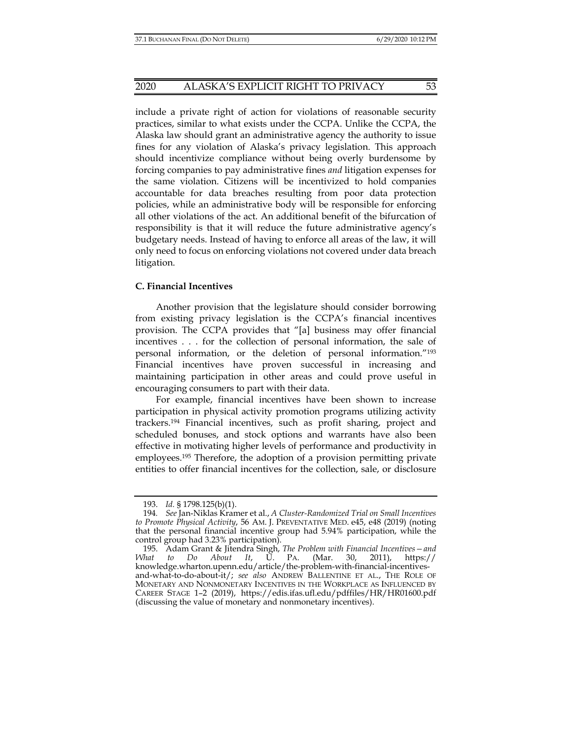include a private right of action for violations of reasonable security practices, similar to what exists under the CCPA. Unlike the CCPA, the Alaska law should grant an administrative agency the authority to issue fines for any violation of Alaska's privacy legislation. This approach should incentivize compliance without being overly burdensome by forcing companies to pay administrative fines *and* litigation expenses for the same violation. Citizens will be incentivized to hold companies accountable for data breaches resulting from poor data protection policies, while an administrative body will be responsible for enforcing all other violations of the act. An additional benefit of the bifurcation of responsibility is that it will reduce the future administrative agency's budgetary needs. Instead of having to enforce all areas of the law, it will only need to focus on enforcing violations not covered under data breach litigation.

#### **C. Financial Incentives**

Another provision that the legislature should consider borrowing from existing privacy legislation is the CCPA's financial incentives provision. The CCPA provides that "[a] business may offer financial incentives . . . for the collection of personal information, the sale of personal information, or the deletion of personal information."193 Financial incentives have proven successful in increasing and maintaining participation in other areas and could prove useful in encouraging consumers to part with their data.

For example, financial incentives have been shown to increase participation in physical activity promotion programs utilizing activity trackers.194 Financial incentives, such as profit sharing, project and scheduled bonuses, and stock options and warrants have also been effective in motivating higher levels of performance and productivity in employees.195 Therefore, the adoption of a provision permitting private entities to offer financial incentives for the collection, sale, or disclosure

 <sup>193.</sup> *Id.* § 1798.125(b)(1).

<sup>194</sup>*. See* Jan-Niklas Kramer et al., *A Cluster-Randomized Trial on Small Incentives to Promote Physical Activity*, 56 AM. J. PREVENTATIVE MED. e45, e48 (2019) (noting that the personal financial incentive group had 5.94% participation, while the control group had 3.23% participation).

 <sup>195.</sup> Adam Grant & Jitendra Singh, *The Problem with Financial Incentives—and What to Do About It*, U. PA. (Mar. 30, 2011), https:// knowledge.wharton.upenn.edu/article/the-problem-with-financial-incentivesand-what-to-do-about-it/; *see also* ANDREW BALLENTINE ET AL., THE ROLE OF MONETARY AND NONMONETARY INCENTIVES IN THE WORKPLACE AS INFLUENCED BY CAREER STAGE 1–2 (2019), https://edis.ifas.ufl.edu/pdffiles/HR/HR01600.pdf (discussing the value of monetary and nonmonetary incentives).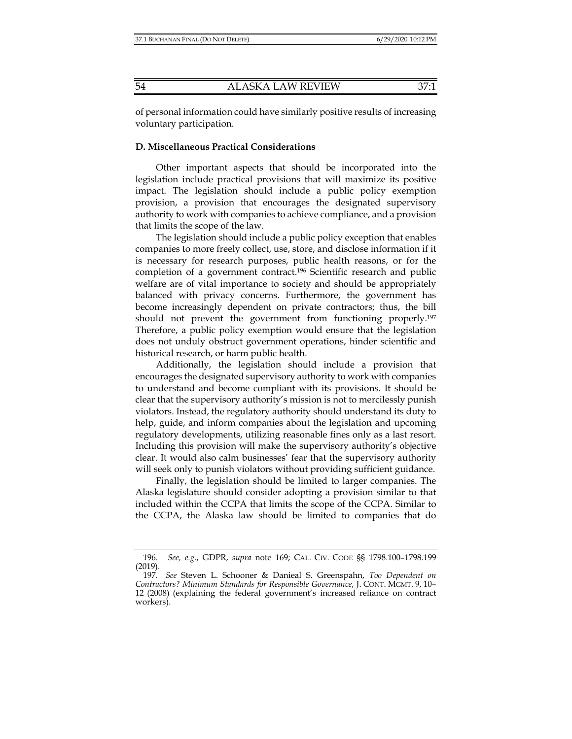of personal information could have similarly positive results of increasing voluntary participation.

#### **D. Miscellaneous Practical Considerations**

Other important aspects that should be incorporated into the legislation include practical provisions that will maximize its positive impact. The legislation should include a public policy exemption provision, a provision that encourages the designated supervisory authority to work with companies to achieve compliance, and a provision that limits the scope of the law.

The legislation should include a public policy exception that enables companies to more freely collect, use, store, and disclose information if it is necessary for research purposes, public health reasons, or for the completion of a government contract.196 Scientific research and public welfare are of vital importance to society and should be appropriately balanced with privacy concerns. Furthermore, the government has become increasingly dependent on private contractors; thus, the bill should not prevent the government from functioning properly.197 Therefore, a public policy exemption would ensure that the legislation does not unduly obstruct government operations, hinder scientific and historical research, or harm public health.

Additionally, the legislation should include a provision that encourages the designated supervisory authority to work with companies to understand and become compliant with its provisions. It should be clear that the supervisory authority's mission is not to mercilessly punish violators. Instead, the regulatory authority should understand its duty to help, guide, and inform companies about the legislation and upcoming regulatory developments, utilizing reasonable fines only as a last resort. Including this provision will make the supervisory authority's objective clear. It would also calm businesses' fear that the supervisory authority will seek only to punish violators without providing sufficient guidance.

Finally, the legislation should be limited to larger companies. The Alaska legislature should consider adopting a provision similar to that included within the CCPA that limits the scope of the CCPA. Similar to the CCPA, the Alaska law should be limited to companies that do

 <sup>196.</sup> *See, e.g.*, GDPR, *supra* note 169; CAL. CIV. CODE §§ 1798.100–1798.199 (2019).

 <sup>197.</sup> *See* Steven L. Schooner & Danieal S. Greenspahn, *Too Dependent on Contractors? Minimum Standards for Responsible Governance*, J. CONT. MGMT. 9, 10– 12 (2008) (explaining the federal government's increased reliance on contract workers).